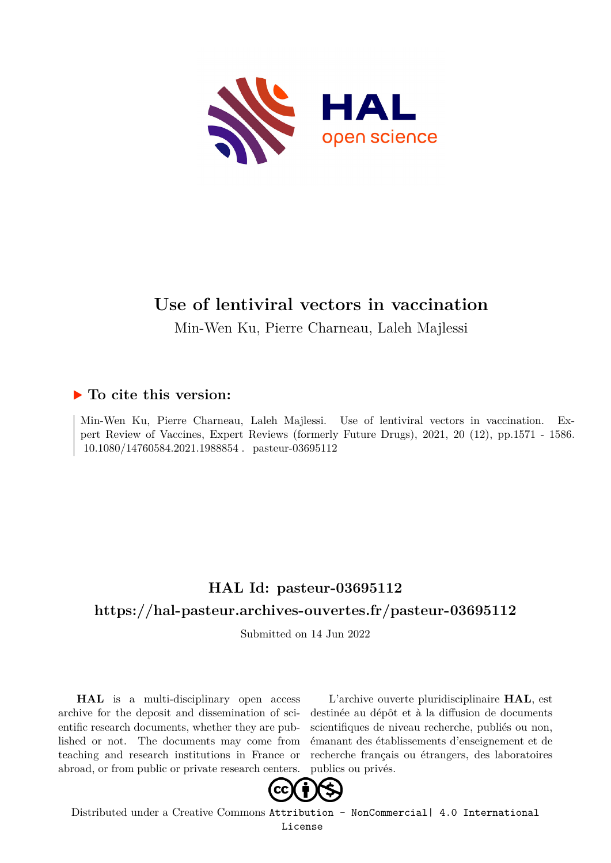

# **Use of lentiviral vectors in vaccination**

Min-Wen Ku, Pierre Charneau, Laleh Majlessi

## **To cite this version:**

Min-Wen Ku, Pierre Charneau, Laleh Majlessi. Use of lentiviral vectors in vaccination. Expert Review of Vaccines, Expert Reviews (formerly Future Drugs), 2021, 20 (12), pp.1571 - 1586. filosofiedalea.2021.1988854. pasteur-03695112

# **HAL Id: pasteur-03695112 <https://hal-pasteur.archives-ouvertes.fr/pasteur-03695112>**

Submitted on 14 Jun 2022

**HAL** is a multi-disciplinary open access archive for the deposit and dissemination of scientific research documents, whether they are published or not. The documents may come from teaching and research institutions in France or abroad, or from public or private research centers.

L'archive ouverte pluridisciplinaire **HAL**, est destinée au dépôt et à la diffusion de documents scientifiques de niveau recherche, publiés ou non, émanant des établissements d'enseignement et de recherche français ou étrangers, des laboratoires publics ou privés.



Distributed under a Creative Commons [Attribution - NonCommercial| 4.0 International](http://creativecommons.org/licenses/by-nc/4.0/) [License](http://creativecommons.org/licenses/by-nc/4.0/)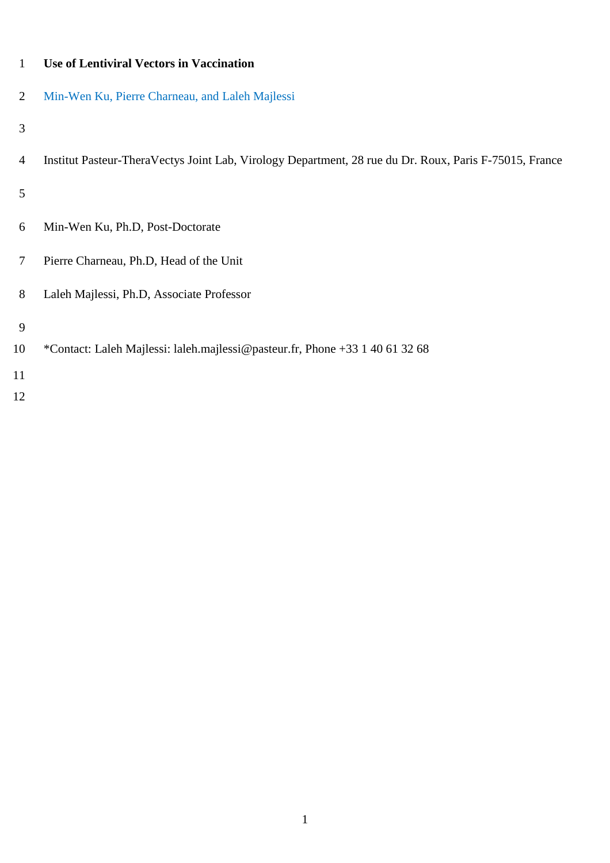| 1  | <b>Use of Lentiviral Vectors in Vaccination</b>                                                        |
|----|--------------------------------------------------------------------------------------------------------|
| 2  | Min-Wen Ku, Pierre Charneau, and Laleh Majlessi                                                        |
| 3  |                                                                                                        |
| 4  | Institut Pasteur-TheraVectys Joint Lab, Virology Department, 28 rue du Dr. Roux, Paris F-75015, France |
| 5  |                                                                                                        |
| 6  | Min-Wen Ku, Ph.D, Post-Doctorate                                                                       |
| 7  | Pierre Charneau, Ph.D, Head of the Unit                                                                |
| 8  | Laleh Majlessi, Ph.D, Associate Professor                                                              |
| 9  |                                                                                                        |
| 10 | *Contact: Laleh Majlessi: laleh.majlessi@pasteur.fr, Phone +33 1 40 61 32 68                           |
| 11 |                                                                                                        |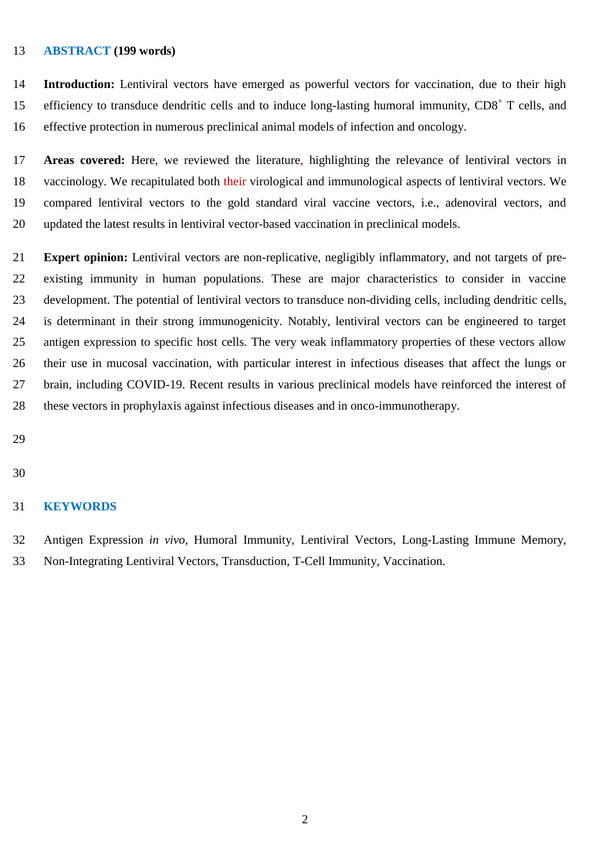#### **ABSTRACT (199 words)**

 **Introduction:** Lentiviral vectors have emerged as powerful vectors for vaccination, due to their high 15 efficiency to transduce dendritic cells and to induce long-lasting humoral immunity, CD8<sup>+</sup> T cells, and effective protection in numerous preclinical animal models of infection and oncology.

 **Areas covered:** Here, we reviewed the literature, highlighting the relevance of lentiviral vectors in vaccinology. We recapitulated both their virological and immunological aspects of lentiviral vectors. We compared lentiviral vectors to the gold standard viral vaccine vectors, i.e., adenoviral vectors, and updated the latest results in lentiviral vector-based vaccination in preclinical models.

 **Expert opinion:** Lentiviral vectors are non-replicative, negligibly inflammatory, and not targets of pre- existing immunity in human populations. These are major characteristics to consider in vaccine development. The potential of lentiviral vectors to transduce non-dividing cells, including dendritic cells, is determinant in their strong immunogenicity. Notably, lentiviral vectors can be engineered to target antigen expression to specific host cells. The very weak inflammatory properties of these vectors allow their use in mucosal vaccination, with particular interest in infectious diseases that affect the lungs or brain, including COVID-19. Recent results in various preclinical models have reinforced the interest of these vectors in prophylaxis against infectious diseases and in onco-immunotherapy.

#### **KEYWORDS**

 Antigen Expression *in vivo*, Humoral Immunity, Lentiviral Vectors, Long-Lasting Immune Memory, Non-Integrating Lentiviral Vectors, Transduction, T-Cell Immunity, Vaccination.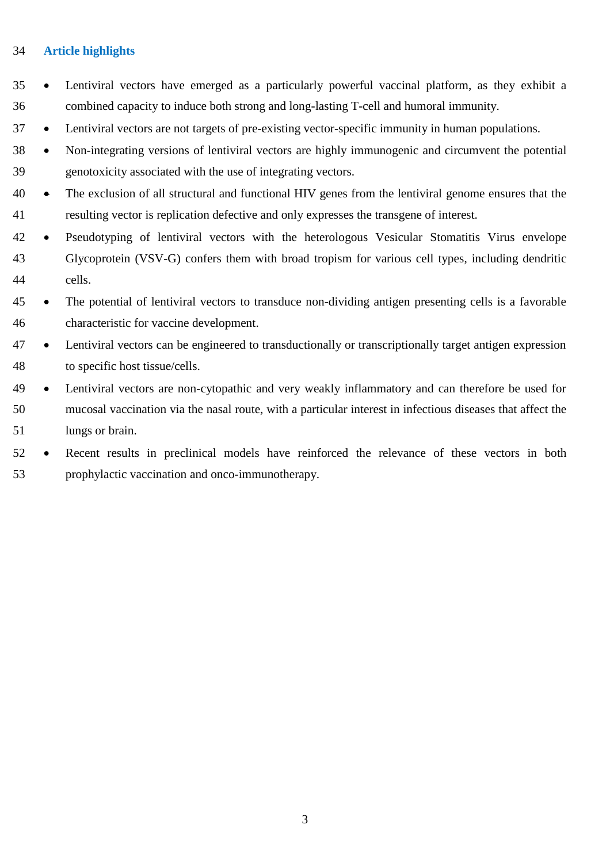#### **Article highlights**

- Lentiviral vectors have emerged as a particularly powerful vaccinal platform, as they exhibit a combined capacity to induce both strong and long-lasting T-cell and humoral immunity.
- Lentiviral vectors are not targets of pre-existing vector-specific immunity in human populations.
- Non-integrating versions of lentiviral vectors are highly immunogenic and circumvent the potential genotoxicity associated with the use of integrating vectors.
- The exclusion of all structural and functional HIV genes from the lentiviral genome ensures that the resulting vector is replication defective and only expresses the transgene of interest.
- Pseudotyping of lentiviral vectors with the heterologous Vesicular Stomatitis Virus envelope Glycoprotein (VSV-G) confers them with broad tropism for various cell types, including dendritic cells.
- The potential of lentiviral vectors to transduce non-dividing antigen presenting cells is a favorable characteristic for vaccine development.
- Lentiviral vectors can be engineered to transductionally or transcriptionally target antigen expression to specific host tissue/cells.
- Lentiviral vectors are non-cytopathic and very weakly inflammatory and can therefore be used for mucosal vaccination via the nasal route, with a particular interest in infectious diseases that affect the lungs or brain.
- Recent results in preclinical models have reinforced the relevance of these vectors in both prophylactic vaccination and onco-immunotherapy.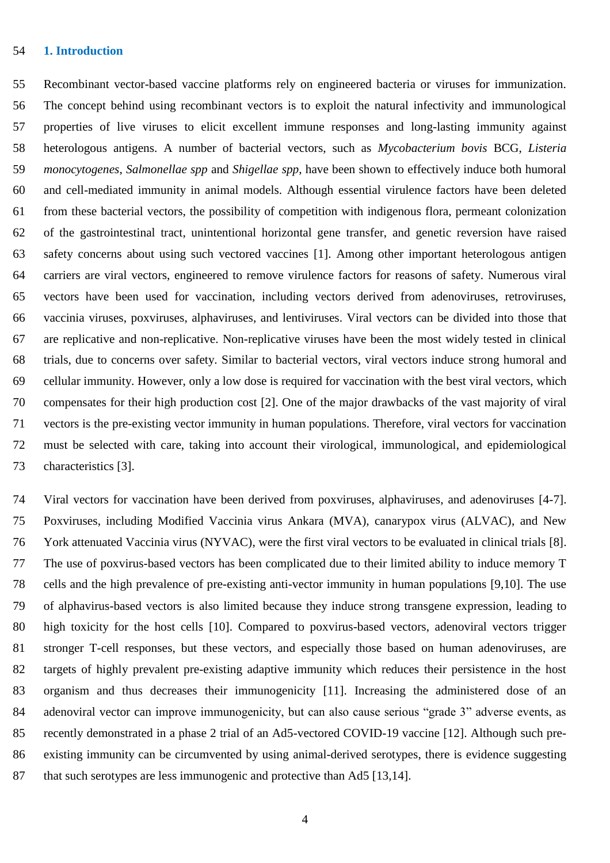## **1. Introduction**

 Recombinant vector-based vaccine platforms rely on engineered bacteria or viruses for immunization. The concept behind using recombinant vectors is to exploit the natural infectivity and immunological properties of live viruses to elicit excellent immune responses and long-lasting immunity against heterologous antigens. A number of bacterial vectors, such as *Mycobacterium bovis* BCG, *Listeria monocytogenes*, *Salmonellae spp* and *Shigellae spp*, have been shown to effectively induce both humoral and cell-mediated immunity in animal models. Although essential virulence factors have been deleted from these bacterial vectors, the possibility of competition with indigenous flora, permeant colonization of the gastrointestinal tract, unintentional horizontal gene transfer, and genetic reversion have raised safety concerns about using such vectored vaccines [1]. Among other important heterologous antigen carriers are viral vectors, engineered to remove virulence factors for reasons of safety. Numerous viral vectors have been used for vaccination, including vectors derived from adenoviruses, retroviruses, vaccinia viruses, poxviruses, alphaviruses, and lentiviruses. Viral vectors can be divided into those that are replicative and non-replicative. Non-replicative viruses have been the most widely tested in clinical trials, due to concerns over safety. Similar to bacterial vectors, viral vectors induce strong humoral and cellular immunity. However, only a low dose is required for vaccination with the best viral vectors, which compensates for their high production cost [2]. One of the major drawbacks of the vast majority of viral vectors is the pre-existing vector immunity in human populations. Therefore, viral vectors for vaccination must be selected with care, taking into account their virological, immunological, and epidemiological characteristics [3].

 Viral vectors for vaccination have been derived from poxviruses, alphaviruses, and adenoviruses [4-7]. Poxviruses, including Modified Vaccinia virus Ankara (MVA), canarypox virus (ALVAC), and New York attenuated Vaccinia virus (NYVAC), were the first viral vectors to be evaluated in clinical trials [8]. The use of poxvirus-based vectors has been complicated due to their limited ability to induce memory T cells and the high prevalence of pre-existing anti-vector immunity in human populations [9,10]. The use of alphavirus-based vectors is also limited because they induce strong transgene expression, leading to high toxicity for the host cells [10]. Compared to poxvirus-based vectors, adenoviral vectors trigger stronger T-cell responses, but these vectors, and especially those based on human adenoviruses, are targets of highly prevalent pre-existing adaptive immunity which reduces their persistence in the host organism and thus decreases their immunogenicity [11]. Increasing the administered dose of an adenoviral vector can improve immunogenicity, but can also cause serious "grade 3" adverse events, as recently demonstrated in a phase 2 trial of an Ad5-vectored COVID-19 vaccine [12]. Although such pre- existing immunity can be circumvented by using animal-derived serotypes, there is evidence suggesting 87 that such serotypes are less immunogenic and protective than Ad5 [13,14].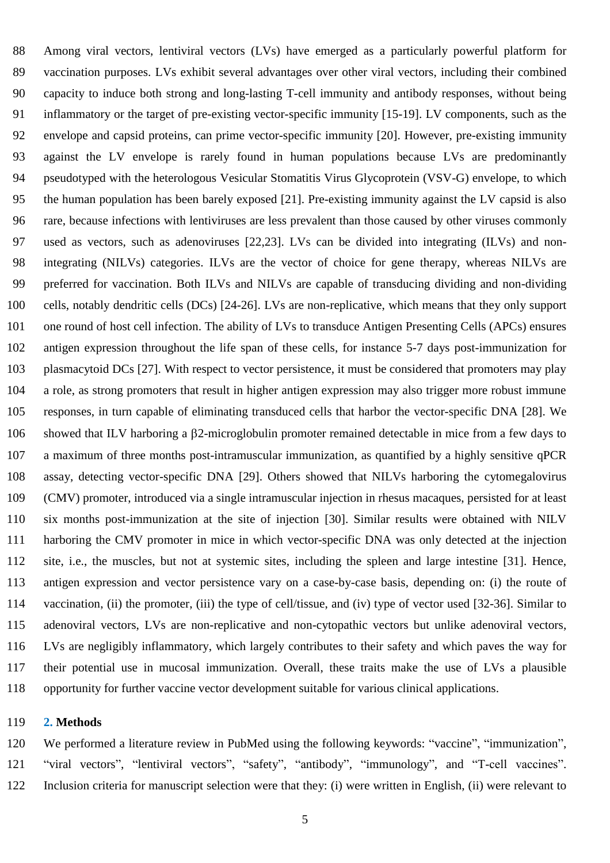Among viral vectors, lentiviral vectors (LVs) have emerged as a particularly powerful platform for vaccination purposes. LVs exhibit several advantages over other viral vectors, including their combined capacity to induce both strong and long-lasting T-cell immunity and antibody responses, without being inflammatory or the target of pre-existing vector-specific immunity [15-19]. LV components, such as the envelope and capsid proteins, can prime vector-specific immunity [20]. However, pre-existing immunity against the LV envelope is rarely found in human populations because LVs are predominantly pseudotyped with the heterologous Vesicular Stomatitis Virus Glycoprotein (VSV-G) envelope, to which the human population has been barely exposed [21]. Pre-existing immunity against the LV capsid is also rare, because infections with lentiviruses are less prevalent than those caused by other viruses commonly used as vectors, such as adenoviruses [22,23]. LVs can be divided into integrating (ILVs) and non- integrating (NILVs) categories. ILVs are the vector of choice for gene therapy, whereas NILVs are preferred for vaccination. Both ILVs and NILVs are capable of transducing dividing and non-dividing cells, notably dendritic cells (DCs) [24-26]. LVs are non-replicative, which means that they only support one round of host cell infection. The ability of LVs to transduce Antigen Presenting Cells (APCs) ensures antigen expression throughout the life span of these cells, for instance 5-7 days post-immunization for plasmacytoid DCs [27]. With respect to vector persistence, it must be considered that promoters may play a role, as strong promoters that result in higher antigen expression may also trigger more robust immune responses, in turn capable of eliminating transduced cells that harbor the vector-specific DNA [28]. We showed that ILV harboring a 2-microglobulin promoter remained detectable in mice from a few days to a maximum of three months post-intramuscular immunization, as quantified by a highly sensitive qPCR assay, detecting vector-specific DNA [29]. Others showed that NILVs harboring the cytomegalovirus (CMV) promoter, introduced via a single intramuscular injection in rhesus macaques, persisted for at least six months post-immunization at the site of injection [30]. Similar results were obtained with NILV harboring the CMV promoter in mice in which vector-specific DNA was only detected at the injection site, i.e., the muscles, but not at systemic sites, including the spleen and large intestine [31]. Hence, antigen expression and vector persistence vary on a case-by-case basis, depending on: (i) the route of vaccination, (ii) the promoter, (iii) the type of cell/tissue, and (iv) type of vector used [32-36]. Similar to adenoviral vectors, LVs are non-replicative and non-cytopathic vectors but unlike adenoviral vectors, LVs are negligibly inflammatory, which largely contributes to their safety and which paves the way for their potential use in mucosal immunization. Overall, these traits make the use of LVs a plausible opportunity for further vaccine vector development suitable for various clinical applications.

#### **2. Methods**

 We performed a literature review in PubMed using the following keywords: "vaccine", "immunization", "viral vectors", "lentiviral vectors", "safety", "antibody", "immunology", and "T-cell vaccines". Inclusion criteria for manuscript selection were that they: (i) were written in English, (ii) were relevant to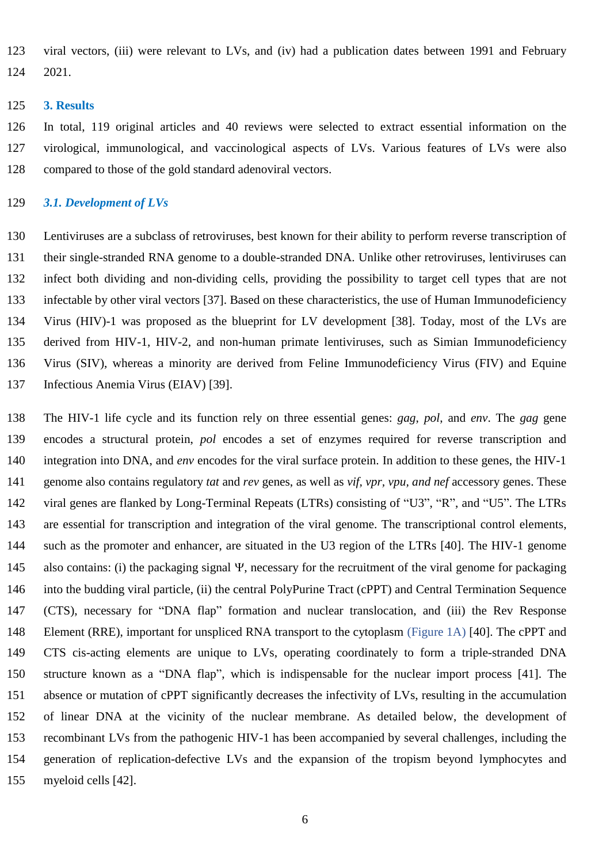viral vectors, (iii) were relevant to LVs, and (iv) had a publication dates between 1991 and February 2021.

#### **3. Results**

 In total, 119 original articles and 40 reviews were selected to extract essential information on the virological, immunological, and vaccinological aspects of LVs. Various features of LVs were also compared to those of the gold standard adenoviral vectors.

#### *3.1. Development of LVs*

 Lentiviruses are a subclass of retroviruses, best known for their ability to perform reverse transcription of their single-stranded RNA genome to a double-stranded DNA. Unlike other retroviruses, lentiviruses can infect both dividing and non-dividing cells, providing the possibility to target cell types that are not infectable by other viral vectors [37]. Based on these characteristics, the use of Human Immunodeficiency Virus (HIV)-1 was proposed as the blueprint for LV development [38]. Today, most of the LVs are derived from HIV-1, HIV-2, and non-human primate lentiviruses, such as Simian Immunodeficiency Virus (SIV), whereas a minority are derived from Feline Immunodeficiency Virus (FIV) and Equine Infectious Anemia Virus (EIAV) [39].

 The HIV-1 life cycle and its function rely on three essential genes: *gag*, *pol*, and *env*. The *gag* gene encodes a structural protein, *pol* encodes a set of enzymes required for reverse transcription and integration into DNA, and *env* encodes for the viral surface protein. In addition to these genes, the HIV-1 genome also contains regulatory *tat* and *rev* genes, as well as *vif, vpr, vpu, and nef* accessory genes. These viral genes are flanked by Long-Terminal Repeats (LTRs) consisting of "U3", "R", and "U5". The LTRs are essential for transcription and integration of the viral genome. The transcriptional control elements, such as the promoter and enhancer, are situated in the U3 region of the LTRs [40]. The HIV-1 genome 145 also contains: (i) the packaging signal  $\Psi$ , necessary for the recruitment of the viral genome for packaging into the budding viral particle, (ii) the central PolyPurine Tract (cPPT) and Central Termination Sequence (CTS), necessary for "DNA flap" formation and nuclear translocation, and (iii) the Rev Response Element (RRE), important for unspliced RNA transport to the cytoplasm (Figure 1A) [40]. The cPPT and CTS cis-acting elements are unique to LVs, operating coordinately to form a triple-stranded DNA structure known as a "DNA flap", which is indispensable for the nuclear import process [41]. The absence or mutation of cPPT significantly decreases the infectivity of LVs, resulting in the accumulation of linear DNA at the vicinity of the nuclear membrane. As detailed below, the development of recombinant LVs from the pathogenic HIV-1 has been accompanied by several challenges, including the generation of replication-defective LVs and the expansion of the tropism beyond lymphocytes and myeloid cells [42].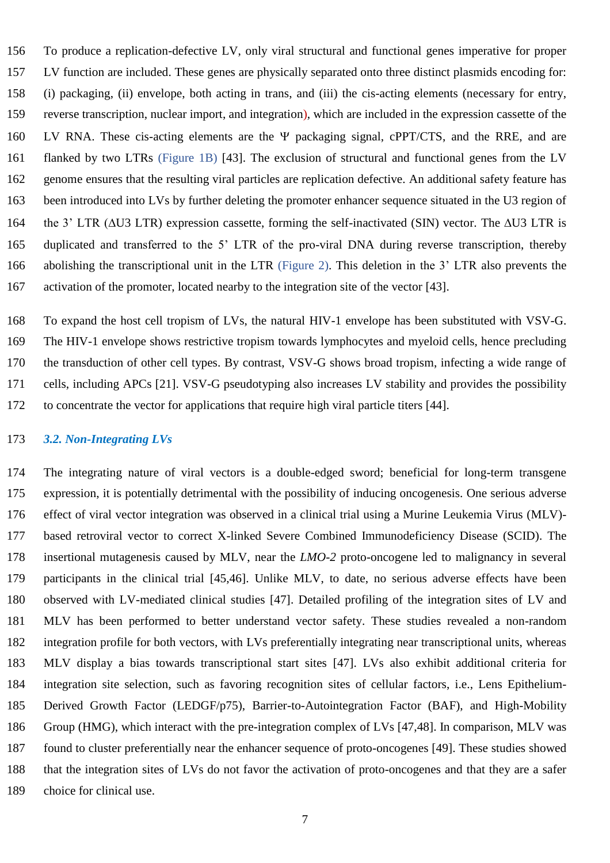To produce a replication-defective LV, only viral structural and functional genes imperative for proper LV function are included. These genes are physically separated onto three distinct plasmids encoding for: (i) packaging, (ii) envelope, both acting in trans, and (iii) the cis-acting elements (necessary for entry, reverse transcription, nuclear import, and integration), which are included in the expression cassette of the 160 LV RNA. These cis-acting elements are the  $\Psi$  packaging signal, cPPT/CTS, and the RRE, and are flanked by two LTRs (Figure 1B) [43]. The exclusion of structural and functional genes from the LV genome ensures that the resulting viral particles are replication defective. An additional safety feature has been introduced into LVs by further deleting the promoter enhancer sequence situated in the U3 region of 164 the 3' LTR ( $\triangle$ U3 LTR) expression cassette, forming the self-inactivated (SIN) vector. The  $\triangle$ U3 LTR is duplicated and transferred to the 5' LTR of the pro-viral DNA during reverse transcription, thereby abolishing the transcriptional unit in the LTR (Figure 2). This deletion in the 3' LTR also prevents the activation of the promoter, located nearby to the integration site of the vector [43].

 To expand the host cell tropism of LVs, the natural HIV-1 envelope has been substituted with VSV-G. The HIV-1 envelope shows restrictive tropism towards lymphocytes and myeloid cells, hence precluding the transduction of other cell types. By contrast, VSV-G shows broad tropism, infecting a wide range of cells, including APCs [21]. VSV-G pseudotyping also increases LV stability and provides the possibility to concentrate the vector for applications that require high viral particle titers [44].

#### *3.2. Non-Integrating LVs*

 The integrating nature of viral vectors is a double-edged sword; beneficial for long-term transgene expression, it is potentially detrimental with the possibility of inducing oncogenesis. One serious adverse effect of viral vector integration was observed in a clinical trial using a Murine Leukemia Virus (MLV)- based retroviral vector to correct X-linked Severe Combined Immunodeficiency Disease (SCID). The insertional mutagenesis caused by MLV, near the *LMO-2* proto-oncogene led to malignancy in several participants in the clinical trial [45,46]. Unlike MLV, to date, no serious adverse effects have been observed with LV-mediated clinical studies [47]. Detailed profiling of the integration sites of LV and MLV has been performed to better understand vector safety. These studies revealed a non-random integration profile for both vectors, with LVs preferentially integrating near transcriptional units, whereas MLV display a bias towards transcriptional start sites [47]. LVs also exhibit additional criteria for integration site selection, such as favoring recognition sites of cellular factors, i.e., Lens Epithelium- Derived Growth Factor (LEDGF/p75), Barrier-to-Autointegration Factor (BAF), and High-Mobility Group (HMG), which interact with the pre-integration complex of LVs [47,48]. In comparison, MLV was found to cluster preferentially near the enhancer sequence of proto-oncogenes [49]. These studies showed that the integration sites of LVs do not favor the activation of proto-oncogenes and that they are a safer choice for clinical use.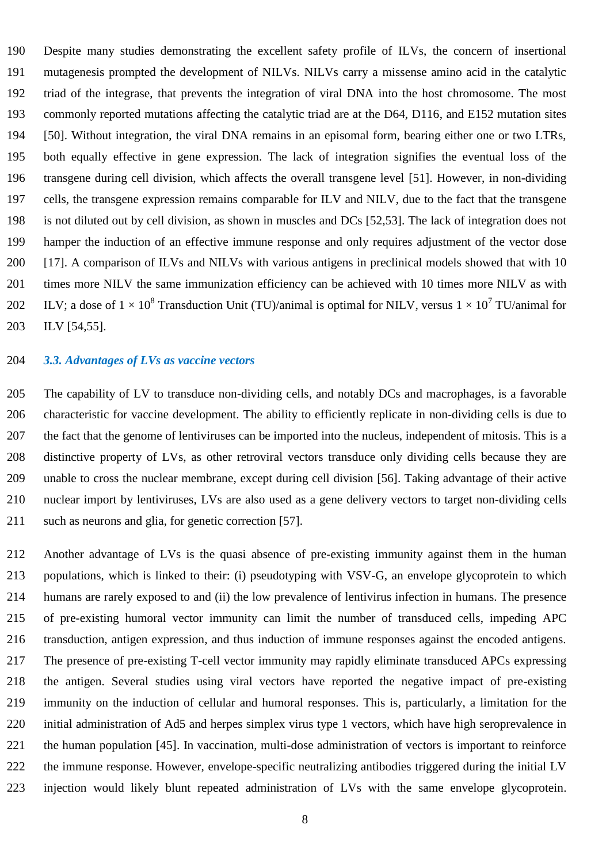Despite many studies demonstrating the excellent safety profile of ILVs, the concern of insertional mutagenesis prompted the development of NILVs. NILVs carry a missense amino acid in the catalytic triad of the integrase, that prevents the integration of viral DNA into the host chromosome. The most commonly reported mutations affecting the catalytic triad are at the D64, D116, and E152 mutation sites [50]. Without integration, the viral DNA remains in an episomal form, bearing either one or two LTRs, both equally effective in gene expression. The lack of integration signifies the eventual loss of the transgene during cell division, which affects the overall transgene level [51]. However, in non-dividing cells, the transgene expression remains comparable for ILV and NILV, due to the fact that the transgene is not diluted out by cell division, as shown in muscles and DCs [52,53]. The lack of integration does not hamper the induction of an effective immune response and only requires adjustment of the vector dose [17]. A comparison of ILVs and NILVs with various antigens in preclinical models showed that with 10 times more NILV the same immunization efficiency can be achieved with 10 times more NILV as with 202 ILV; a dose of  $1 \times 10^8$  Transduction Unit (TU)/animal is optimal for NILV, versus  $1 \times 10^7$  TU/animal for ILV [54,55].

#### *3.3. Advantages of LVs as vaccine vectors*

 The capability of LV to transduce non-dividing cells, and notably DCs and macrophages, is a favorable characteristic for vaccine development. The ability to efficiently replicate in non-dividing cells is due to the fact that the genome of lentiviruses can be imported into the nucleus, independent of mitosis. This is a distinctive property of LVs, as other retroviral vectors transduce only dividing cells because they are unable to cross the nuclear membrane, except during cell division [56]. Taking advantage of their active nuclear import by lentiviruses, LVs are also used as a gene delivery vectors to target non-dividing cells such as neurons and glia, for genetic correction [57].

 Another advantage of LVs is the quasi absence of pre-existing immunity against them in the human populations, which is linked to their: (i) pseudotyping with VSV-G, an envelope glycoprotein to which humans are rarely exposed to and (ii) the low prevalence of lentivirus infection in humans. The presence of pre-existing humoral vector immunity can limit the number of transduced cells, impeding APC transduction, antigen expression, and thus induction of immune responses against the encoded antigens. The presence of pre-existing T-cell vector immunity may rapidly eliminate transduced APCs expressing the antigen. Several studies using viral vectors have reported the negative impact of pre-existing immunity on the induction of cellular and humoral responses. This is, particularly, a limitation for the initial administration of Ad5 and herpes simplex virus type 1 vectors, which have high seroprevalence in the human population [45]. In vaccination, multi-dose administration of vectors is important to reinforce the immune response. However, envelope-specific neutralizing antibodies triggered during the initial LV injection would likely blunt repeated administration of LVs with the same envelope glycoprotein.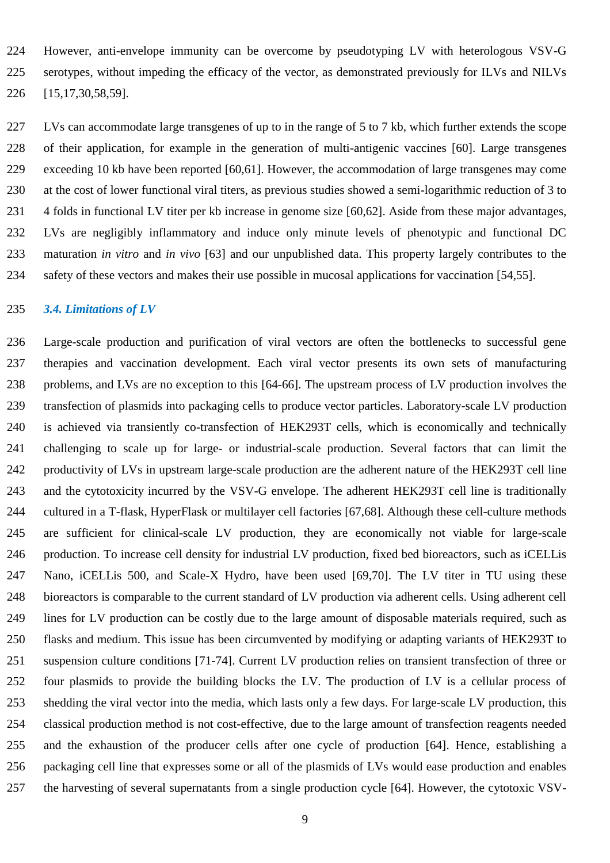However, anti-envelope immunity can be overcome by pseudotyping LV with heterologous VSV-G serotypes, without impeding the efficacy of the vector, as demonstrated previously for ILVs and NILVs [15,17,30,58,59].

 LVs can accommodate large transgenes of up to in the range of 5 to 7 kb, which further extends the scope of their application, for example in the generation of multi-antigenic vaccines [60]. Large transgenes exceeding 10 kb have been reported [60,61]. However, the accommodation of large transgenes may come at the cost of lower functional viral titers, as previous studies showed a semi-logarithmic reduction of 3 to 4 folds in functional LV titer per kb increase in genome size [60,62]. Aside from these major advantages, LVs are negligibly inflammatory and induce only minute levels of phenotypic and functional DC maturation *in vitro* and *in vivo* [63] and our unpublished data. This property largely contributes to the safety of these vectors and makes their use possible in mucosal applications for vaccination [54,55].

#### *3.4. Limitations of LV*

 Large-scale production and purification of viral vectors are often the bottlenecks to successful gene therapies and vaccination development. Each viral vector presents its own sets of manufacturing problems, and LVs are no exception to this [64-66]. The upstream process of LV production involves the transfection of plasmids into packaging cells to produce vector particles. Laboratory-scale LV production is achieved via transiently co-transfection of HEK293T cells, which is economically and technically challenging to scale up for large- or industrial-scale production. Several factors that can limit the productivity of LVs in upstream large-scale production are the adherent nature of the HEK293T cell line and the cytotoxicity incurred by the VSV-G envelope. The adherent HEK293T cell line is traditionally cultured in a T-flask, HyperFlask or multilayer cell factories [67,68]. Although these cell-culture methods are sufficient for clinical-scale LV production, they are economically not viable for large-scale production. To increase cell density for industrial LV production, fixed bed bioreactors, such as iCELLis Nano, iCELLis 500, and Scale-X Hydro, have been used [69,70]. The LV titer in TU using these bioreactors is comparable to the current standard of LV production via adherent cells. Using adherent cell lines for LV production can be costly due to the large amount of disposable materials required, such as flasks and medium. This issue has been circumvented by modifying or adapting variants of HEK293T to suspension culture conditions [71-74]. Current LV production relies on transient transfection of three or four plasmids to provide the building blocks the LV. The production of LV is a cellular process of shedding the viral vector into the media, which lasts only a few days. For large-scale LV production, this classical production method is not cost-effective, due to the large amount of transfection reagents needed and the exhaustion of the producer cells after one cycle of production [64]. Hence, establishing a packaging cell line that expresses some or all of the plasmids of LVs would ease production and enables the harvesting of several supernatants from a single production cycle [64]. However, the cytotoxic VSV-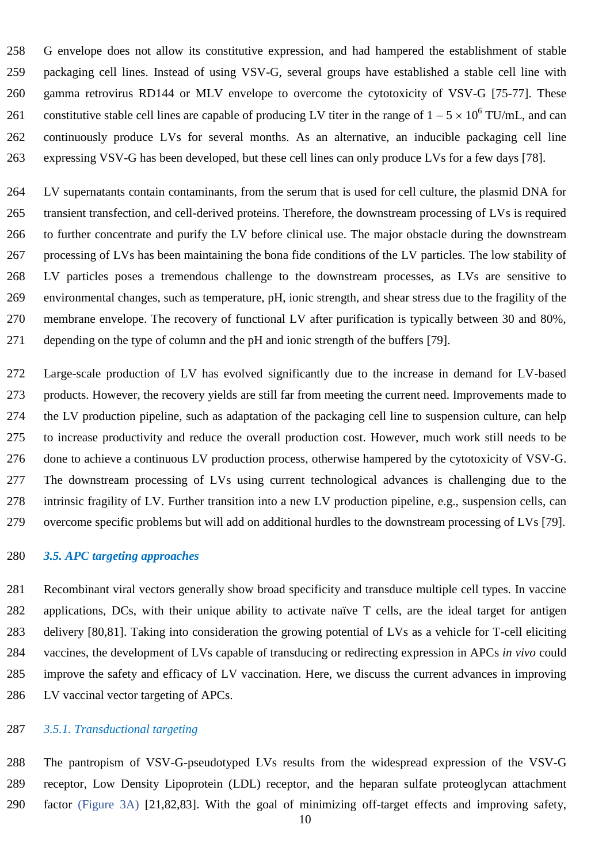G envelope does not allow its constitutive expression, and had hampered the establishment of stable packaging cell lines. Instead of using VSV-G, several groups have established a stable cell line with gamma retrovirus RD144 or MLV envelope to overcome the cytotoxicity of VSV-G [75-77]. These 261 constitutive stable cell lines are capable of producing LV titer in the range of  $1 - 5 \times 10^6$  TU/mL, and can continuously produce LVs for several months. As an alternative, an inducible packaging cell line expressing VSV-G has been developed, but these cell lines can only produce LVs for a few days [78].

 LV supernatants contain contaminants, from the serum that is used for cell culture, the plasmid DNA for transient transfection, and cell-derived proteins. Therefore, the downstream processing of LVs is required to further concentrate and purify the LV before clinical use. The major obstacle during the downstream processing of LVs has been maintaining the bona fide conditions of the LV particles. The low stability of LV particles poses a tremendous challenge to the downstream processes, as LVs are sensitive to environmental changes, such as temperature, pH, ionic strength, and shear stress due to the fragility of the membrane envelope. The recovery of functional LV after purification is typically between 30 and 80%, depending on the type of column and the pH and ionic strength of the buffers [79].

 Large-scale production of LV has evolved significantly due to the increase in demand for LV-based products. However, the recovery yields are still far from meeting the current need. Improvements made to the LV production pipeline, such as adaptation of the packaging cell line to suspension culture, can help to increase productivity and reduce the overall production cost. However, much work still needs to be done to achieve a continuous LV production process, otherwise hampered by the cytotoxicity of VSV-G. The downstream processing of LVs using current technological advances is challenging due to the intrinsic fragility of LV. Further transition into a new LV production pipeline, e.g., suspension cells, can overcome specific problems but will add on additional hurdles to the downstream processing of LVs [79].

## *3.5. APC targeting approaches*

 Recombinant viral vectors generally show broad specificity and transduce multiple cell types. In vaccine applications, DCs, with their unique ability to activate naïve T cells, are the ideal target for antigen delivery [80,81]. Taking into consideration the growing potential of LVs as a vehicle for T-cell eliciting vaccines, the development of LVs capable of transducing or redirecting expression in APCs *in vivo* could improve the safety and efficacy of LV vaccination. Here, we discuss the current advances in improving LV vaccinal vector targeting of APCs.

## *3.5.1. Transductional targeting*

 The pantropism of VSV-G-pseudotyped LVs results from the widespread expression of the VSV-G receptor, Low Density Lipoprotein (LDL) receptor, and the heparan sulfate proteoglycan attachment factor (Figure 3A) [21,82,83]. With the goal of minimizing off-target effects and improving safety,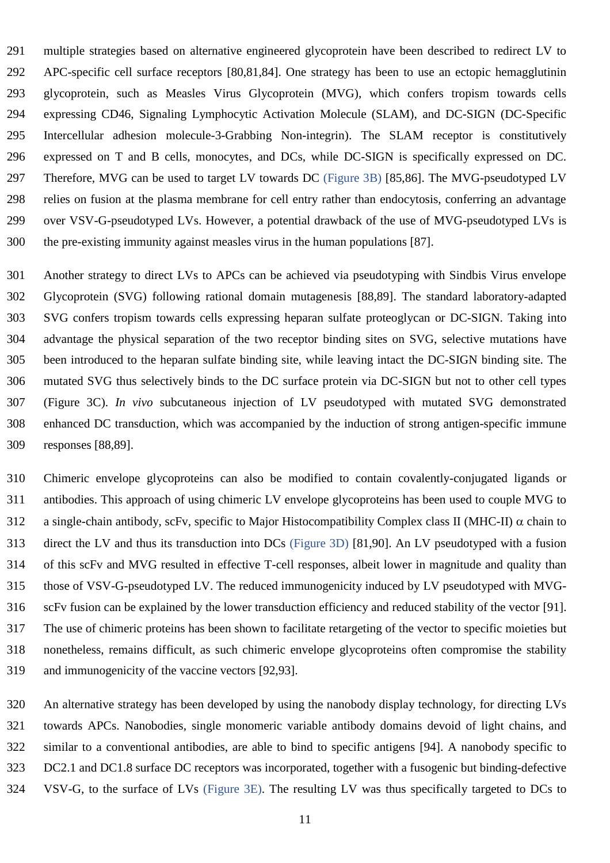multiple strategies based on alternative engineered glycoprotein have been described to redirect LV to APC-specific cell surface receptors [80,81,84]. One strategy has been to use an ectopic hemagglutinin glycoprotein, such as Measles Virus Glycoprotein (MVG), which confers tropism towards cells expressing CD46, Signaling Lymphocytic Activation Molecule (SLAM), and DC-SIGN (DC-Specific Intercellular adhesion molecule-3-Grabbing Non-integrin). The SLAM receptor is constitutively expressed on T and B cells, monocytes, and DCs, while DC-SIGN is specifically expressed on DC. Therefore, MVG can be used to target LV towards DC (Figure 3B) [85,86]. The MVG-pseudotyped LV relies on fusion at the plasma membrane for cell entry rather than endocytosis, conferring an advantage over VSV-G-pseudotyped LVs. However, a potential drawback of the use of MVG-pseudotyped LVs is the pre-existing immunity against measles virus in the human populations [87].

 Another strategy to direct LVs to APCs can be achieved via pseudotyping with Sindbis Virus envelope Glycoprotein (SVG) following rational domain mutagenesis [88,89]. The standard laboratory-adapted SVG confers tropism towards cells expressing heparan sulfate proteoglycan or DC-SIGN. Taking into advantage the physical separation of the two receptor binding sites on SVG, selective mutations have been introduced to the heparan sulfate binding site, while leaving intact the DC-SIGN binding site. The mutated SVG thus selectively binds to the DC surface protein via DC-SIGN but not to other cell types (Figure 3C). *In vivo* subcutaneous injection of LV pseudotyped with mutated SVG demonstrated enhanced DC transduction, which was accompanied by the induction of strong antigen-specific immune responses [88,89].

 Chimeric envelope glycoproteins can also be modified to contain covalently-conjugated ligands or antibodies. This approach of using chimeric LV envelope glycoproteins has been used to couple MVG to 312 a single-chain antibody, scFv, specific to Major Histocompatibility Complex class II (MHC-II)  $\alpha$  chain to direct the LV and thus its transduction into DCs (Figure 3D) [81,90]. An LV pseudotyped with a fusion of this scFv and MVG resulted in effective T-cell responses, albeit lower in magnitude and quality than those of VSV-G-pseudotyped LV. The reduced immunogenicity induced by LV pseudotyped with MVG- scFv fusion can be explained by the lower transduction efficiency and reduced stability of the vector [91]. The use of chimeric proteins has been shown to facilitate retargeting of the vector to specific moieties but nonetheless, remains difficult, as such chimeric envelope glycoproteins often compromise the stability and immunogenicity of the vaccine vectors [92,93].

 An alternative strategy has been developed by using the nanobody display technology, for directing LVs towards APCs. Nanobodies, single monomeric variable antibody domains devoid of light chains, and similar to a conventional antibodies, are able to bind to specific antigens [94]. A nanobody specific to DC2.1 and DC1.8 surface DC receptors was incorporated, together with a fusogenic but binding-defective VSV-G, to the surface of LVs (Figure 3E). The resulting LV was thus specifically targeted to DCs to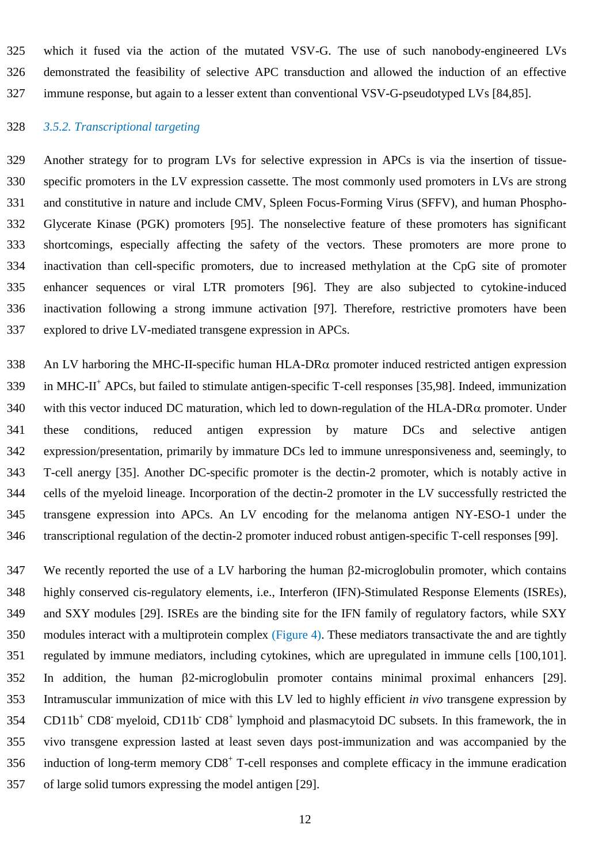which it fused via the action of the mutated VSV-G. The use of such nanobody-engineered LVs demonstrated the feasibility of selective APC transduction and allowed the induction of an effective immune response, but again to a lesser extent than conventional VSV-G-pseudotyped LVs [84,85].

#### *3.5.2. Transcriptional targeting*

 Another strategy for to program LVs for selective expression in APCs is via the insertion of tissue- specific promoters in the LV expression cassette. The most commonly used promoters in LVs are strong and constitutive in nature and include CMV, Spleen Focus-Forming Virus (SFFV), and human Phospho- Glycerate Kinase (PGK) promoters [95]. The nonselective feature of these promoters has significant shortcomings, especially affecting the safety of the vectors. These promoters are more prone to inactivation than cell-specific promoters, due to increased methylation at the CpG site of promoter enhancer sequences or viral LTR promoters [96]. They are also subjected to cytokine-induced inactivation following a strong immune activation [97]. Therefore, restrictive promoters have been explored to drive LV-mediated transgene expression in APCs.

338 An LV harboring the MHC-II-specific human  $HLA-DR\alpha$  promoter induced restricted antigen expression 339 in MHC-II<sup>+</sup> APCs, but failed to stimulate antigen-specific T-cell responses [35,98]. Indeed, immunization 340 with this vector induced DC maturation, which led to down-regulation of the HLA-DR $\alpha$  promoter. Under these conditions, reduced antigen expression by mature DCs and selective antigen expression/presentation, primarily by immature DCs led to immune unresponsiveness and, seemingly, to T-cell anergy [35]. Another DC-specific promoter is the dectin-2 promoter, which is notably active in cells of the myeloid lineage. Incorporation of the dectin-2 promoter in the LV successfully restricted the transgene expression into APCs. An LV encoding for the melanoma antigen NY-ESO-1 under the transcriptional regulation of the dectin-2 promoter induced robust antigen-specific T-cell responses [99].

 We recently reported the use of a LV harboring the human 2-microglobulin promoter, which contains highly conserved cis-regulatory elements, i.e., Interferon (IFN)-Stimulated Response Elements (ISREs), and SXY modules [29]. ISREs are the binding site for the IFN family of regulatory factors, while SXY modules interact with a multiprotein complex (Figure 4). These mediators transactivate the and are tightly regulated by immune mediators, including cytokines, which are upregulated in immune cells [100,101]. In addition, the human  $\beta$ 2-microglobulin promoter contains minimal proximal enhancers [29]. Intramuscular immunization of mice with this LV led to highly efficient *in vivo* transgene expression by 354 CD11b<sup>+</sup> CD8 myeloid, CD11b<sup>-</sup> CD8<sup>+</sup> lymphoid and plasmacytoid DC subsets. In this framework, the in vivo transgene expression lasted at least seven days post-immunization and was accompanied by the induction of long-term memory  $CDS<sup>+</sup>$  T-cell responses and complete efficacy in the immune eradication of large solid tumors expressing the model antigen [29].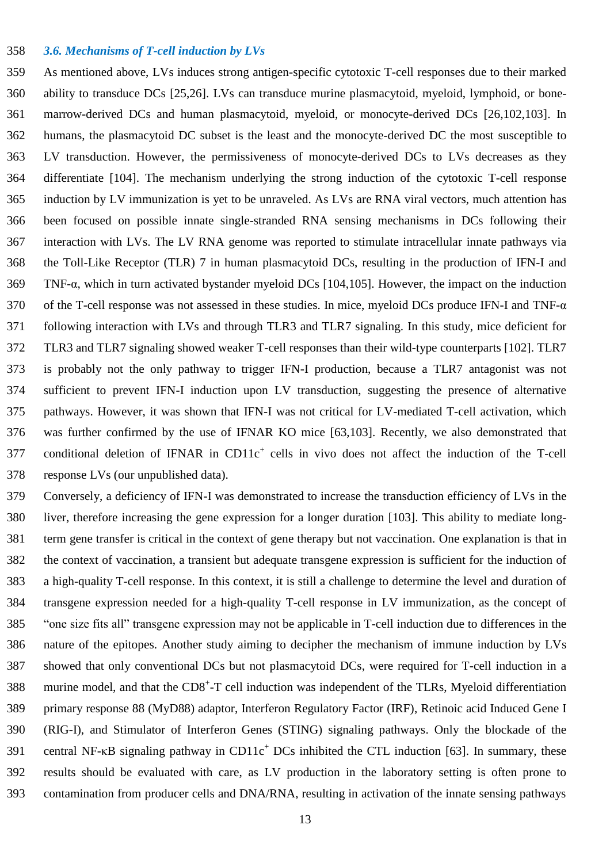#### *3.6. Mechanisms of T-cell induction by LVs*

 As mentioned above, LVs induces strong antigen-specific cytotoxic T-cell responses due to their marked ability to transduce DCs [25,26]. LVs can transduce murine plasmacytoid, myeloid, lymphoid, or bone- marrow-derived DCs and human plasmacytoid, myeloid, or monocyte-derived DCs [26,102,103]. In humans, the plasmacytoid DC subset is the least and the monocyte-derived DC the most susceptible to LV transduction. However, the permissiveness of monocyte-derived DCs to LVs decreases as they differentiate [104]. The mechanism underlying the strong induction of the cytotoxic T-cell response induction by LV immunization is yet to be unraveled. As LVs are RNA viral vectors, much attention has been focused on possible innate single-stranded RNA sensing mechanisms in DCs following their interaction with LVs. The LV RNA genome was reported to stimulate intracellular innate pathways via the Toll-Like Receptor (TLR) 7 in human plasmacytoid DCs, resulting in the production of IFN-I and TNF-α, which in turn activated bystander myeloid DCs [104,105]. However, the impact on the induction of the T-cell response was not assessed in these studies. In mice, myeloid DCs produce IFN-I and TNF-α following interaction with LVs and through TLR3 and TLR7 signaling. In this study, mice deficient for TLR3 and TLR7 signaling showed weaker T-cell responses than their wild-type counterparts [102]. TLR7 is probably not the only pathway to trigger IFN-I production, because a TLR7 antagonist was not sufficient to prevent IFN-I induction upon LV transduction, suggesting the presence of alternative pathways. However, it was shown that IFN-I was not critical for LV-mediated T-cell activation, which was further confirmed by the use of IFNAR KO mice [63,103]. Recently, we also demonstrated that 377 conditional deletion of IFNAR in CD11 $c^+$  cells in vivo does not affect the induction of the T-cell response LVs (our unpublished data).

 Conversely, a deficiency of IFN-I was demonstrated to increase the transduction efficiency of LVs in the liver, therefore increasing the gene expression for a longer duration [103]. This ability to mediate long- term gene transfer is critical in the context of gene therapy but not vaccination. One explanation is that in the context of vaccination, a transient but adequate transgene expression is sufficient for the induction of a high-quality T-cell response. In this context, it is still a challenge to determine the level and duration of transgene expression needed for a high-quality T-cell response in LV immunization, as the concept of "one size fits all" transgene expression may not be applicable in T-cell induction due to differences in the nature of the epitopes. Another study aiming to decipher the mechanism of immune induction by LVs showed that only conventional DCs but not plasmacytoid DCs, were required for T-cell induction in a 388 murine model, and that the CD8<sup>+</sup>-T cell induction was independent of the TLRs, Myeloid differentiation primary response 88 (MyD88) adaptor, Interferon Regulatory Factor (IRF), Retinoic acid Induced Gene I (RIG-I), and Stimulator of Interferon Genes (STING) signaling pathways. Only the blockade of the 391 central NF- $\kappa$ B signaling pathway in CD11 $c^+$  DCs inhibited the CTL induction [63]. In summary, these results should be evaluated with care, as LV production in the laboratory setting is often prone to contamination from producer cells and DNA/RNA, resulting in activation of the innate sensing pathways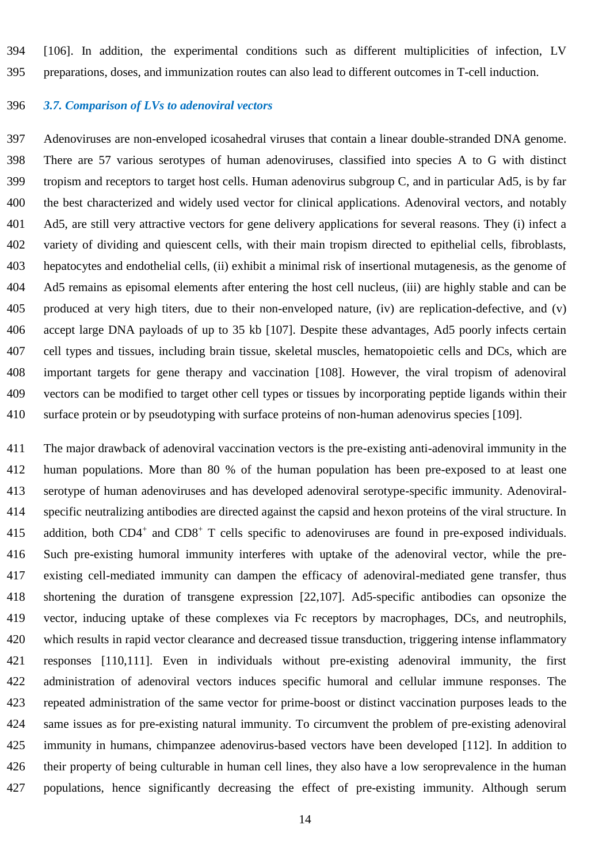[106]. In addition, the experimental conditions such as different multiplicities of infection, LV preparations, doses, and immunization routes can also lead to different outcomes in T-cell induction.

#### *3.7. Comparison of LVs to adenoviral vectors*

 Adenoviruses are non-enveloped icosahedral viruses that contain a linear double-stranded DNA genome. There are 57 various serotypes of human adenoviruses, classified into species A to G with distinct tropism and receptors to target host cells. Human adenovirus subgroup C, and in particular Ad5, is by far the best characterized and widely used vector for clinical applications. Adenoviral vectors, and notably Ad5, are still very attractive vectors for gene delivery applications for several reasons. They (i) infect a variety of dividing and quiescent cells, with their main tropism directed to epithelial cells, fibroblasts, hepatocytes and endothelial cells, (ii) exhibit a minimal risk of insertional mutagenesis, as the genome of Ad5 remains as episomal elements after entering the host cell nucleus, (iii) are highly stable and can be produced at very high titers, due to their non-enveloped nature, (iv) are replication-defective, and (v) accept large DNA payloads of up to 35 kb [107]. Despite these advantages, Ad5 poorly infects certain cell types and tissues, including brain tissue, skeletal muscles, hematopoietic cells and DCs, which are important targets for gene therapy and vaccination [108]. However, the viral tropism of adenoviral vectors can be modified to target other cell types or tissues by incorporating peptide ligands within their surface protein or by pseudotyping with surface proteins of non-human adenovirus species [109].

 The major drawback of adenoviral vaccination vectors is the pre-existing anti-adenoviral immunity in the human populations. More than 80 % of the human population has been pre-exposed to at least one serotype of human adenoviruses and has developed adenoviral serotype-specific immunity. Adenoviral- specific neutralizing antibodies are directed against the capsid and hexon proteins of the viral structure. In 415 addition, both CD4<sup>+</sup> and CD8<sup>+</sup> T cells specific to adenoviruses are found in pre-exposed individuals. Such pre-existing humoral immunity interferes with uptake of the adenoviral vector, while the pre- existing cell-mediated immunity can dampen the efficacy of adenoviral-mediated gene transfer, thus shortening the duration of transgene expression [22,107]. Ad5-specific antibodies can opsonize the vector, inducing uptake of these complexes via Fc receptors by macrophages, DCs, and neutrophils, which results in rapid vector clearance and decreased tissue transduction, triggering intense inflammatory responses [110,111]. Even in individuals without pre-existing adenoviral immunity, the first administration of adenoviral vectors induces specific humoral and cellular immune responses. The repeated administration of the same vector for prime-boost or distinct vaccination purposes leads to the same issues as for pre-existing natural immunity. To circumvent the problem of pre-existing adenoviral immunity in humans, chimpanzee adenovirus-based vectors have been developed [112]. In addition to their property of being culturable in human cell lines, they also have a low seroprevalence in the human populations, hence significantly decreasing the effect of pre-existing immunity. Although serum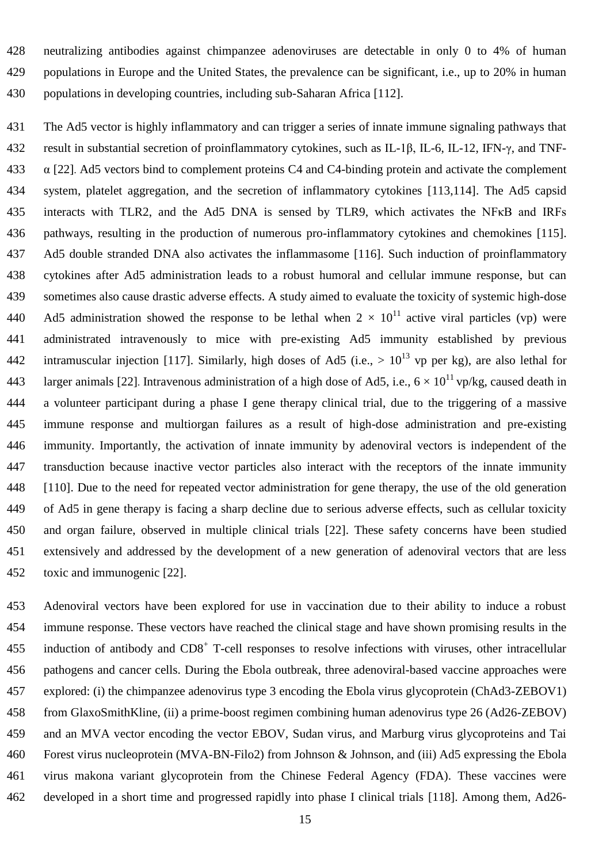neutralizing antibodies against chimpanzee adenoviruses are detectable in only 0 to 4% of human populations in Europe and the United States, the prevalence can be significant, i.e., up to 20% in human populations in developing countries, including sub-Saharan Africa [112].

 The Ad5 vector is highly inflammatory and can trigger a series of innate immune signaling pathways that result in substantial secretion of proinflammatory cytokines, such as IL-1β, IL-6, IL-12, IFN-γ, and TNF- $\alpha$  [22]. Ad5 vectors bind to complement proteins C4 and C4-binding protein and activate the complement system, platelet aggregation, and the secretion of inflammatory cytokines [113,114]. The Ad5 capsid interacts with TLR2, and the Ad5 DNA is sensed by TLR9, which activates the NFκB and IRFs pathways, resulting in the production of numerous pro-inflammatory cytokines and chemokines [115]. Ad5 double stranded DNA also activates the inflammasome [116]. Such induction of proinflammatory cytokines after Ad5 administration leads to a robust humoral and cellular immune response, but can sometimes also cause drastic adverse effects. A study aimed to evaluate the toxicity of systemic high-dose 440 Ad5 administration showed the response to be lethal when  $2 \times 10^{11}$  active viral particles (vp) were administrated intravenously to mice with pre-existing Ad5 immunity established by previous 442 intramuscular injection [117]. Similarly, high doses of Ad5 (i.e.,  $> 10^{13}$  vp per kg), are also lethal for 443 larger animals [22]. Intravenous administration of a high dose of Ad5, i.e.,  $6 \times 10^{11}$  vp/kg, caused death in a volunteer participant during a phase I gene therapy clinical trial, due to the triggering of a massive immune response and multiorgan failures as a result of high-dose administration and pre-existing immunity. Importantly, the activation of innate immunity by adenoviral vectors is independent of the transduction because inactive vector particles also interact with the receptors of the innate immunity [110]. Due to the need for repeated vector administration for gene therapy, the use of the old generation of Ad5 in gene therapy is facing a sharp decline due to serious adverse effects, such as cellular toxicity and organ failure, observed in multiple clinical trials [22]. These safety concerns have been studied extensively and addressed by the development of a new generation of adenoviral vectors that are less toxic and immunogenic [22].

 Adenoviral vectors have been explored for use in vaccination due to their ability to induce a robust immune response. These vectors have reached the clinical stage and have shown promising results in the 455 induction of antibody and CD8<sup>+</sup> T-cell responses to resolve infections with viruses, other intracellular pathogens and cancer cells. During the Ebola outbreak, three adenoviral-based vaccine approaches were explored: (i) the chimpanzee adenovirus type 3 encoding the Ebola virus glycoprotein (ChAd3-ZEBOV1) from GlaxoSmithKline, (ii) a prime-boost regimen combining human adenovirus type 26 (Ad26-ZEBOV) and an MVA vector encoding the vector EBOV, Sudan virus, and Marburg virus glycoproteins and Tai Forest virus nucleoprotein (MVA-BN-Filo2) from Johnson & Johnson, and (iii) Ad5 expressing the Ebola virus makona variant glycoprotein from the Chinese Federal Agency (FDA). These vaccines were developed in a short time and progressed rapidly into phase I clinical trials [118]. Among them, Ad26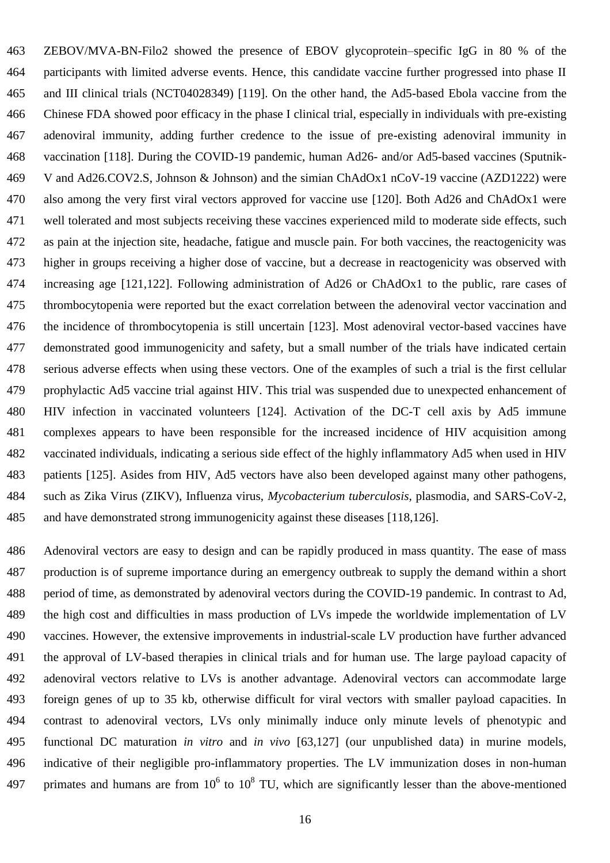ZEBOV/MVA-BN-Filo2 showed the presence of EBOV glycoprotein–specific IgG in 80 % of the participants with limited adverse events. Hence, this candidate vaccine further progressed into phase II and III clinical trials (NCT04028349) [119]. On the other hand, the Ad5-based Ebola vaccine from the Chinese FDA showed poor efficacy in the phase I clinical trial, especially in individuals with pre-existing adenoviral immunity, adding further credence to the issue of pre-existing adenoviral immunity in vaccination [118]. During the COVID-19 pandemic, human Ad26- and/or Ad5-based vaccines (Sputnik- V and Ad26.COV2.S, Johnson & Johnson) and the simian ChAdOx1 nCoV-19 vaccine (AZD1222) were also among the very first viral vectors approved for vaccine use [120]. Both Ad26 and ChAdOx1 were well tolerated and most subjects receiving these vaccines experienced mild to moderate side effects, such as pain at the injection site, headache, fatigue and muscle pain. For both vaccines, the reactogenicity was higher in groups receiving a higher dose of vaccine, but a decrease in reactogenicity was observed with increasing age [121,122]. Following administration of Ad26 or ChAdOx1 to the public, rare cases of thrombocytopenia were reported but the exact correlation between the adenoviral vector vaccination and the incidence of thrombocytopenia is still uncertain [123]. Most adenoviral vector-based vaccines have demonstrated good immunogenicity and safety, but a small number of the trials have indicated certain serious adverse effects when using these vectors. One of the examples of such a trial is the first cellular prophylactic Ad5 vaccine trial against HIV. This trial was suspended due to unexpected enhancement of HIV infection in vaccinated volunteers [124]. Activation of the DC-T cell axis by Ad5 immune complexes appears to have been responsible for the increased incidence of HIV acquisition among vaccinated individuals, indicating a serious side effect of the highly inflammatory Ad5 when used in HIV patients [125]. Asides from HIV, Ad5 vectors have also been developed against many other pathogens, such as Zika Virus (ZIKV), Influenza virus, *Mycobacterium tuberculosis,* plasmodia, and SARS-CoV-2, and have demonstrated strong immunogenicity against these diseases [118,126].

 Adenoviral vectors are easy to design and can be rapidly produced in mass quantity. The ease of mass production is of supreme importance during an emergency outbreak to supply the demand within a short period of time, as demonstrated by adenoviral vectors during the COVID-19 pandemic. In contrast to Ad, the high cost and difficulties in mass production of LVs impede the worldwide implementation of LV vaccines. However, the extensive improvements in industrial-scale LV production have further advanced the approval of LV-based therapies in clinical trials and for human use. The large payload capacity of adenoviral vectors relative to LVs is another advantage. Adenoviral vectors can accommodate large foreign genes of up to 35 kb, otherwise difficult for viral vectors with smaller payload capacities. In contrast to adenoviral vectors, LVs only minimally induce only minute levels of phenotypic and functional DC maturation *in vitro* and *in vivo* [63,127] (our unpublished data) in murine models, indicative of their negligible pro-inflammatory properties. The LV immunization doses in non-human 497 primates and humans are from  $10^6$  to  $10^8$  TU, which are significantly lesser than the above-mentioned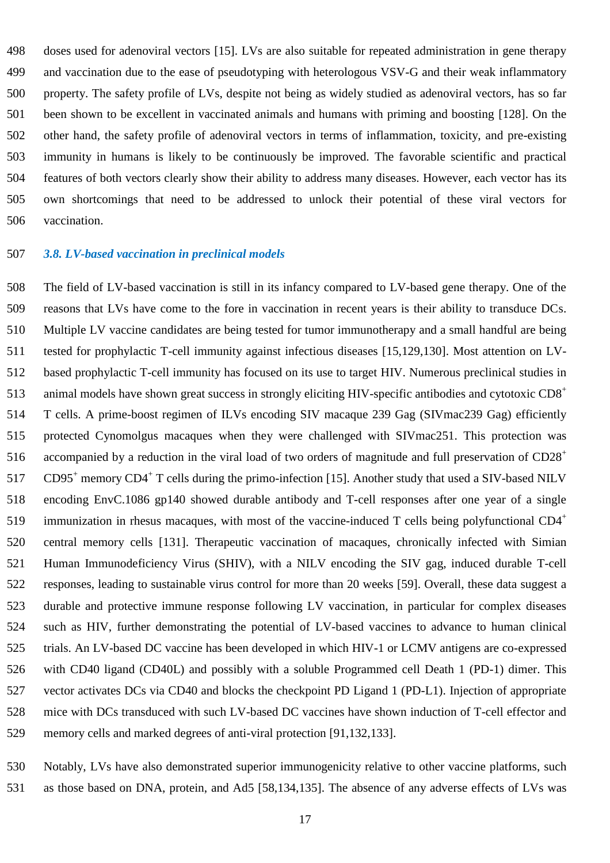doses used for adenoviral vectors [15]. LVs are also suitable for repeated administration in gene therapy and vaccination due to the ease of pseudotyping with heterologous VSV-G and their weak inflammatory property. The safety profile of LVs, despite not being as widely studied as adenoviral vectors, has so far been shown to be excellent in vaccinated animals and humans with priming and boosting [128]. On the other hand, the safety profile of adenoviral vectors in terms of inflammation, toxicity, and pre-existing immunity in humans is likely to be continuously be improved. The favorable scientific and practical features of both vectors clearly show their ability to address many diseases. However, each vector has its own shortcomings that need to be addressed to unlock their potential of these viral vectors for vaccination.

### *3.8. LV-based vaccination in preclinical models*

 The field of LV-based vaccination is still in its infancy compared to LV-based gene therapy. One of the reasons that LVs have come to the fore in vaccination in recent years is their ability to transduce DCs. Multiple LV vaccine candidates are being tested for tumor immunotherapy and a small handful are being tested for prophylactic T-cell immunity against infectious diseases [15,129,130]. Most attention on LV- based prophylactic T-cell immunity has focused on its use to target HIV. Numerous preclinical studies in 513 animal models have shown great success in strongly eliciting HIV-specific antibodies and cytotoxic  $CD8<sup>+</sup>$  T cells. A prime-boost regimen of ILVs encoding SIV macaque 239 Gag (SIVmac239 Gag) efficiently protected Cynomolgus macaques when they were challenged with SIVmac251. This protection was accompanied by a reduction in the viral load of two orders of magnitude and full preservation of CD28<sup>+</sup> 517 CD95<sup>+</sup> memory CD4<sup>+</sup> T cells during the primo-infection [15]. Another study that used a SIV-based NILV encoding EnvC.1086 gp140 showed durable antibody and T-cell responses after one year of a single immunization in rhesus macaques, with most of the vaccine-induced T cells being polyfunctional CD4<sup>+</sup> central memory cells [131]. Therapeutic vaccination of macaques, chronically infected with Simian Human Immunodeficiency Virus (SHIV), with a NILV encoding the SIV gag, induced durable T-cell responses, leading to sustainable virus control for more than 20 weeks [59]. Overall, these data suggest a durable and protective immune response following LV vaccination, in particular for complex diseases such as HIV, further demonstrating the potential of LV-based vaccines to advance to human clinical trials. An LV-based DC vaccine has been developed in which HIV-1 or LCMV antigens are co-expressed with CD40 ligand (CD40L) and possibly with a soluble Programmed cell Death 1 (PD-1) dimer. This vector activates DCs via CD40 and blocks the checkpoint PD Ligand 1 (PD-L1). Injection of appropriate mice with DCs transduced with such LV-based DC vaccines have shown induction of T-cell effector and memory cells and marked degrees of anti-viral protection [91,132,133].

 Notably, LVs have also demonstrated superior immunogenicity relative to other vaccine platforms, such as those based on DNA, protein, and Ad5 [58,134,135]. The absence of any adverse effects of LVs was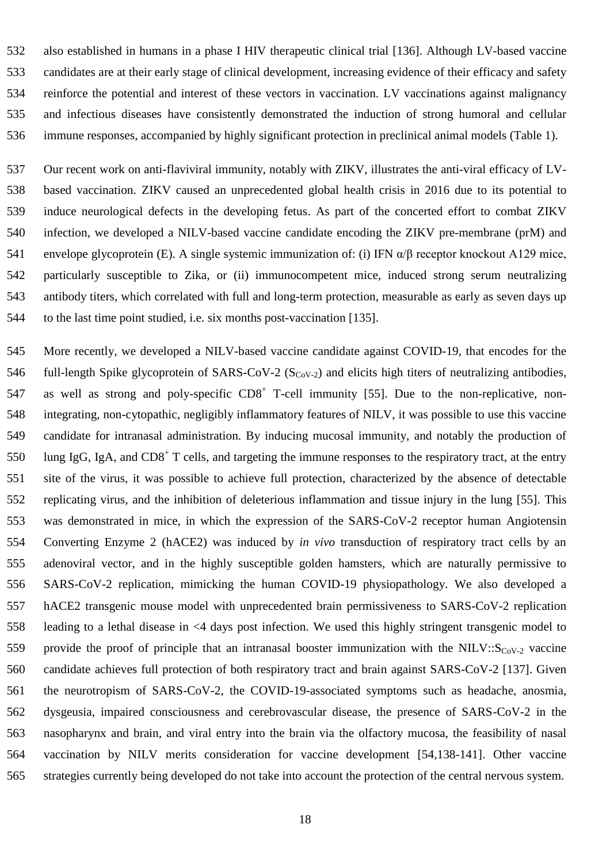also established in humans in a phase I HIV therapeutic clinical trial [136]. Although LV-based vaccine candidates are at their early stage of clinical development, increasing evidence of their efficacy and safety reinforce the potential and interest of these vectors in vaccination. LV vaccinations against malignancy and infectious diseases have consistently demonstrated the induction of strong humoral and cellular immune responses, accompanied by highly significant protection in preclinical animal models (Table 1).

 Our recent work on anti-flaviviral immunity, notably with ZIKV, illustrates the anti-viral efficacy of LV- based vaccination. ZIKV caused an unprecedented global health crisis in 2016 due to its potential to induce neurological defects in the developing fetus. As part of the concerted effort to combat ZIKV infection, we developed a NILV-based vaccine candidate encoding the ZIKV pre-membrane (prM) and envelope glycoprotein (E). A single systemic immunization of: (i) IFN α/β receptor knockout A129 mice, particularly susceptible to Zika, or (ii) immunocompetent mice, induced strong serum neutralizing antibody titers, which correlated with full and long-term protection, measurable as early as seven days up to the last time point studied, i.e. six months post-vaccination [135].

 More recently, we developed a NILV-based vaccine candidate against COVID-19, that encodes for the 546 full-length Spike glycoprotein of SARS-CoV-2 ( $S_{CoV-2}$ ) and elicits high titers of neutralizing antibodies, 547 as well as strong and poly-specific CD8<sup>+</sup> T-cell immunity [55]. Due to the non-replicative, non- integrating, non-cytopathic, negligibly inflammatory features of NILV, it was possible to use this vaccine candidate for intranasal administration. By inducing mucosal immunity, and notably the production of 550 Iung IgG, IgA, and  $CD8<sup>+</sup>$  T cells, and targeting the immune responses to the respiratory tract, at the entry site of the virus, it was possible to achieve full protection, characterized by the absence of detectable replicating virus, and the inhibition of deleterious inflammation and tissue injury in the lung [55]. This was demonstrated in mice, in which the expression of the SARS-CoV-2 receptor human Angiotensin Converting Enzyme 2 (hACE2) was induced by *in vivo* transduction of respiratory tract cells by an adenoviral vector, and in the highly susceptible golden hamsters, which are naturally permissive to SARS-CoV-2 replication, mimicking the human COVID-19 physiopathology. We also developed a hACE2 transgenic mouse model with unprecedented brain permissiveness to SARS-CoV-2 replication leading to a lethal disease in <4 days post infection. We used this highly stringent transgenic model to 559 provide the proof of principle that an intranasal booster immunization with the NILV:: $S_{C_0V_{-2}}$  vaccine candidate achieves full protection of both respiratory tract and brain against SARS-CoV-2 [137]. Given the neurotropism of SARS-CoV-2, the COVID-19-associated symptoms such as headache, anosmia, dysgeusia, impaired consciousness and cerebrovascular disease, the presence of SARS-CoV-2 in the nasopharynx and brain, and viral entry into the brain via the olfactory mucosa, the feasibility of nasal vaccination by NILV merits consideration for vaccine development [54,138-141]. Other vaccine strategies currently being developed do not take into account the protection of the central nervous system.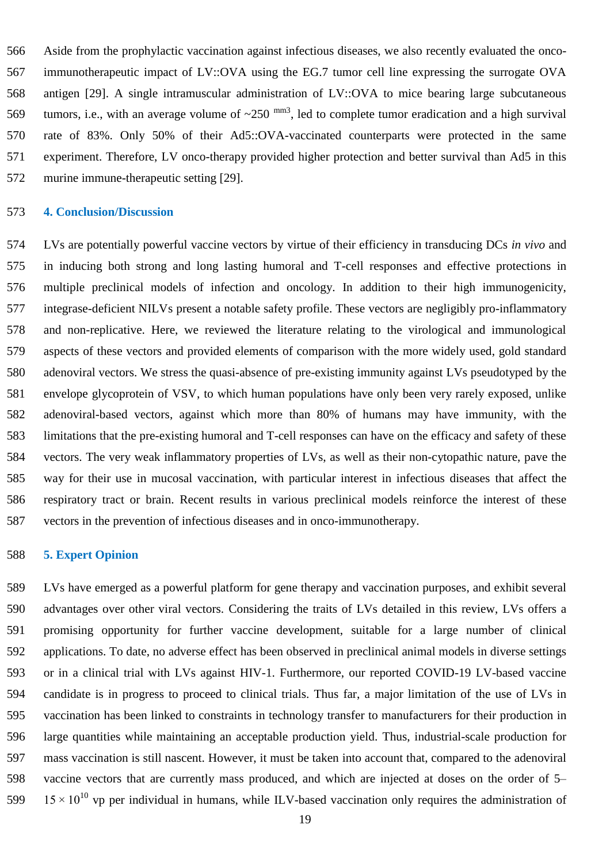Aside from the prophylactic vaccination against infectious diseases, we also recently evaluated the onco- immunotherapeutic impact of LV::OVA using the EG.7 tumor cell line expressing the surrogate OVA antigen [29]. A single intramuscular administration of LV::OVA to mice bearing large subcutaneous 569 tumors, i.e., with an average volume of  $\sim$ 250  $^{mm3}$ , led to complete tumor eradication and a high survival rate of 83%. Only 50% of their Ad5::OVA-vaccinated counterparts were protected in the same experiment. Therefore, LV onco-therapy provided higher protection and better survival than Ad5 in this murine immune-therapeutic setting [29].

#### **4. Conclusion/Discussion**

 LVs are potentially powerful vaccine vectors by virtue of their efficiency in transducing DCs *in vivo* and in inducing both strong and long lasting humoral and T-cell responses and effective protections in multiple preclinical models of infection and oncology. In addition to their high immunogenicity, integrase-deficient NILVs present a notable safety profile. These vectors are negligibly pro-inflammatory and non-replicative. Here, we reviewed the literature relating to the virological and immunological aspects of these vectors and provided elements of comparison with the more widely used, gold standard adenoviral vectors. We stress the quasi-absence of pre-existing immunity against LVs pseudotyped by the envelope glycoprotein of VSV, to which human populations have only been very rarely exposed, unlike adenoviral-based vectors, against which more than 80% of humans may have immunity, with the limitations that the pre-existing humoral and T-cell responses can have on the efficacy and safety of these vectors. The very weak inflammatory properties of LVs, as well as their non-cytopathic nature, pave the way for their use in mucosal vaccination, with particular interest in infectious diseases that affect the respiratory tract or brain. Recent results in various preclinical models reinforce the interest of these vectors in the prevention of infectious diseases and in onco-immunotherapy.

## **5. Expert Opinion**

 LVs have emerged as a powerful platform for gene therapy and vaccination purposes, and exhibit several advantages over other viral vectors. Considering the traits of LVs detailed in this review, LVs offers a promising opportunity for further vaccine development, suitable for a large number of clinical applications. To date, no adverse effect has been observed in preclinical animal models in diverse settings or in a clinical trial with LVs against HIV-1. Furthermore, our reported COVID*-*19 LV-based vaccine candidate is in progress to proceed to clinical trials. Thus far, a major limitation of the use of LVs in vaccination has been linked to constraints in technology transfer to manufacturers for their production in large quantities while maintaining an acceptable production yield. Thus, industrial-scale production for mass vaccination is still nascent. However, it must be taken into account that, compared to the adenoviral vaccine vectors that are currently mass produced, and which are injected at doses on the order of 5–  $15 \times 10^{10}$  vp per individual in humans, while ILV-based vaccination only requires the administration of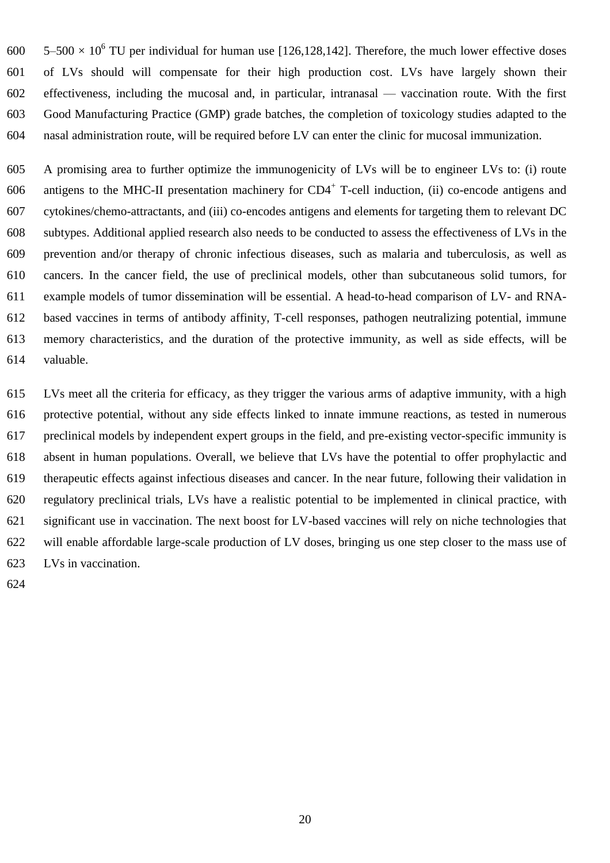$5-500 \times 10^6$  TU per individual for human use [126,128,142]. Therefore, the much lower effective doses of LVs should will compensate for their high production cost. LVs have largely shown their effectiveness, including the mucosal and, in particular, intranasal — vaccination route. With the first Good Manufacturing Practice (GMP) grade batches, the completion of toxicology studies adapted to the nasal administration route, will be required before LV can enter the clinic for mucosal immunization.

 A promising area to further optimize the immunogenicity of LVs will be to engineer LVs to: (i) route 606 antigens to the MHC-II presentation machinery for  $CD4^+$  T-cell induction, (ii) co-encode antigens and cytokines/chemo-attractants, and (iii) co-encodes antigens and elements for targeting them to relevant DC subtypes. Additional applied research also needs to be conducted to assess the effectiveness of LVs in the prevention and/or therapy of chronic infectious diseases, such as malaria and tuberculosis, as well as cancers. In the cancer field, the use of preclinical models, other than subcutaneous solid tumors, for example models of tumor dissemination will be essential. A head-to-head comparison of LV- and RNA- based vaccines in terms of antibody affinity, T-cell responses, pathogen neutralizing potential, immune memory characteristics, and the duration of the protective immunity, as well as side effects, will be valuable.

 LVs meet all the criteria for efficacy, as they trigger the various arms of adaptive immunity, with a high protective potential, without any side effects linked to innate immune reactions, as tested in numerous preclinical models by independent expert groups in the field, and pre-existing vector-specific immunity is absent in human populations. Overall, we believe that LVs have the potential to offer prophylactic and therapeutic effects against infectious diseases and cancer. In the near future, following their validation in regulatory preclinical trials, LVs have a realistic potential to be implemented in clinical practice, with significant use in vaccination. The next boost for LV-based vaccines will rely on niche technologies that will enable affordable large-scale production of LV doses, bringing us one step closer to the mass use of LVs in vaccination.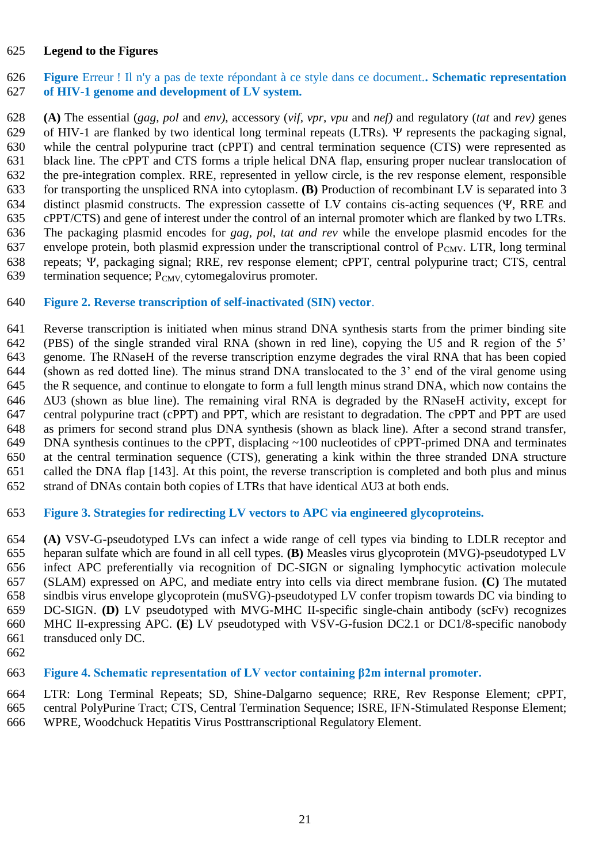## **Legend to the Figures**

## **Figure** Erreur ! Il n'y a pas de texte répondant à ce style dans ce document.**. Schematic representation of HIV-1 genome and development of LV system.**

 **(A)** The essential (*gag, pol* and *env)*, accessory (*vif, vpr, vpu* and *nef)* and regulatory (*tat* and *rev)* genes 629 of HIV-1 are flanked by two identical long terminal repeats (LTRs).  $\Psi$  represents the packaging signal, while the central polypurine tract (cPPT) and central termination sequence (CTS) were represented as black line. The cPPT and CTS forms a triple helical DNA flap, ensuring proper nuclear translocation of the pre-integration complex. RRE, represented in yellow circle, is the rev response element, responsible for transporting the unspliced RNA into cytoplasm. **(B)** Production of recombinant LV is separated into 3 634 distinct plasmid constructs. The expression cassette of LV contains cis-acting sequences  $(\Psi, RRE)$  and cPPT/CTS) and gene of interest under the control of an internal promoter which are flanked by two LTRs. The packaging plasmid encodes for *gag, pol, tat and rev* while the envelope plasmid encodes for the 637 envelope protein, both plasmid expression under the transcriptional control of  $P_{CMV}$ . LTR, long terminal 638 repeats;  $\Psi$ , packaging signal; RRE, rev response element; cPPT, central polypurine tract; CTS, central termination sequence;  $P_{CMV}$  cytomegalovirus promoter. termination sequence;  $P_{\text{CMV}}$  cytomegalovirus promoter.

## **Figure 2. Reverse transcription of self-inactivated (SIN) vector**.

 Reverse transcription is initiated when minus strand DNA synthesis starts from the primer binding site (PBS) of the single stranded viral RNA (shown in red line), copying the U5 and R region of the 5' genome. The RNaseH of the reverse transcription enzyme degrades the viral RNA that has been copied (shown as red dotted line). The minus strand DNA translocated to the 3' end of the viral genome using the R sequence, and continue to elongate to form a full length minus strand DNA, which now contains the  $\Delta$ U3 (shown as blue line). The remaining viral RNA is degraded by the RNaseH activity, except for central polypurine tract (cPPT) and PPT, which are resistant to degradation. The cPPT and PPT are used as primers for second strand plus DNA synthesis (shown as black line). After a second strand transfer, DNA synthesis continues to the cPPT, displacing ~100 nucleotides of cPPT-primed DNA and terminates at the central termination sequence (CTS), generating a kink within the three stranded DNA structure called the DNA flap [143]. At this point, the reverse transcription is completed and both plus and minus 652 strand of DNAs contain both copies of LTRs that have identical  $\Delta$ U3 at both ends.

## **Figure 3. Strategies for redirecting LV vectors to APC via engineered glycoproteins.**

 **(A)** VSV-G-pseudotyped LVs can infect a wide range of cell types via binding to LDLR receptor and heparan sulfate which are found in all cell types. **(B)** Measles virus glycoprotein (MVG)-pseudotyped LV infect APC preferentially via recognition of DC-SIGN or signaling lymphocytic activation molecule (SLAM) expressed on APC, and mediate entry into cells via direct membrane fusion. **(C)** The mutated sindbis virus envelope glycoprotein (muSVG)-pseudotyped LV confer tropism towards DC via binding to DC-SIGN. **(D)** LV pseudotyped with MVG-MHC II-specific single-chain antibody (scFv) recognizes MHC II-expressing APC. **(E)** LV pseudotyped with VSV-G-fusion DC2.1 or DC1/8-specific nanobody transduced only DC.

## **Figure 4. Schematic representation of LV vector containing β2m internal promoter.**

 LTR: Long Terminal Repeats; SD, Shine-Dalgarno sequence; RRE, Rev Response Element; cPPT, central PolyPurine Tract; CTS, Central Termination Sequence; ISRE, IFN-Stimulated Response Element; WPRE, Woodchuck Hepatitis Virus Posttranscriptional Regulatory Element.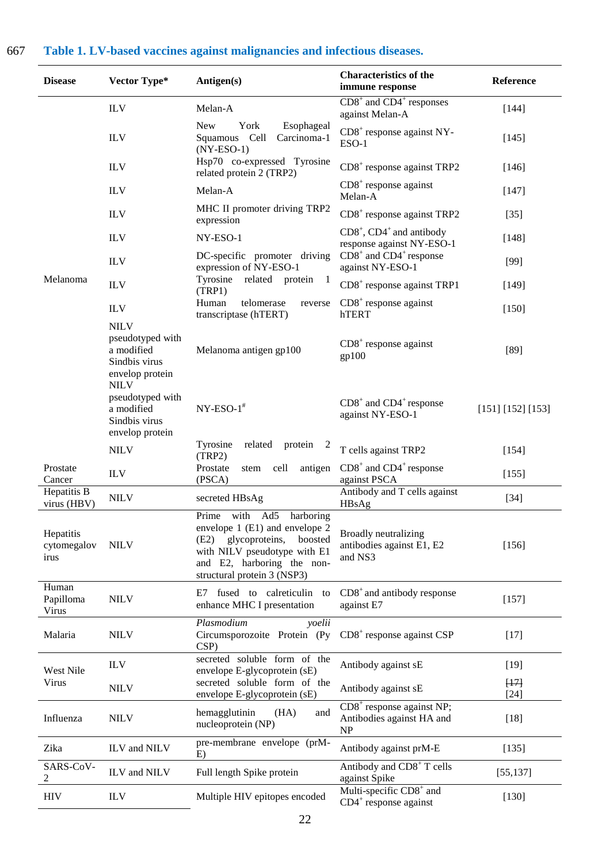## 667 **Table 1. LV-based vaccines against malignancies and infectious diseases.**

| <b>Disease</b>                   | Vector Type*                                                                                     | Antigen(s)                                                                                                                                                                                             | <b>Characteristics of the</b><br>immune response                      | Reference         |
|----------------------------------|--------------------------------------------------------------------------------------------------|--------------------------------------------------------------------------------------------------------------------------------------------------------------------------------------------------------|-----------------------------------------------------------------------|-------------------|
|                                  | <b>ILV</b>                                                                                       | Melan-A                                                                                                                                                                                                | $CD8+$ and $CD4+$ responses<br>against Melan-A                        | $[144]$           |
|                                  | <b>ILV</b>                                                                                       | <b>New</b><br>York<br>Esophageal<br>Squamous Cell<br>Carcinoma-1<br>$(NY-ESO-1)$                                                                                                                       | $CDS+$ response against NY-<br>ESO-1                                  | $[145]$           |
|                                  | <b>ILV</b>                                                                                       | Hsp70 co-expressed Tyrosine<br>related protein 2 (TRP2)                                                                                                                                                | $CDS+$ response against TRP2                                          | [146]             |
|                                  | <b>ILV</b>                                                                                       | Melan-A                                                                                                                                                                                                | $CDS+$ response against<br>Melan-A                                    | $[147]$           |
|                                  | <b>ILV</b>                                                                                       | MHC II promoter driving TRP2<br>expression                                                                                                                                                             | $CD8+$ response against TRP2                                          | $[35]$            |
|                                  | <b>ILV</b>                                                                                       | NY-ESO-1                                                                                                                                                                                               | $CD8^+$ , $CD4^+$ and antibody<br>response against NY-ESO-1           | $[148]$           |
|                                  | <b>ILV</b>                                                                                       | DC-specific promoter driving<br>expression of NY-ESO-1                                                                                                                                                 | $CD8+$ and $CD4+$ response<br>against NY-ESO-1                        | $[99]$            |
| Melanoma                         | <b>ILV</b>                                                                                       | Tyrosine<br>related protein<br>$\mathbf{1}$<br>(TRP1)                                                                                                                                                  | $CD8+$ response against TRP1                                          | [149]             |
|                                  | <b>ILV</b>                                                                                       | Human<br>telomerase<br>reverse<br>transcriptase (hTERT)                                                                                                                                                | $CDS+$ response against<br>hTERT                                      | $[150]$           |
|                                  | <b>NILV</b><br>pseudotyped with<br>a modified<br>Sindbis virus<br>envelop protein<br><b>NILV</b> | Melanoma antigen gp100                                                                                                                                                                                 | $CDS+$ response against<br>gp100                                      | $[89]$            |
|                                  | pseudotyped with<br>a modified<br>Sindbis virus<br>envelop protein                               | $NY-ESO-1$ <sup>#</sup>                                                                                                                                                                                | $CD8+$ and $CD4+$ response<br>against NY-ESO-1                        | [151] [152] [153] |
|                                  | <b>NILV</b>                                                                                      | Tyrosine<br>related<br>protein<br>$\mathbf{z}$<br>(TRP2)                                                                                                                                               | T cells against TRP2                                                  | [154]             |
| Prostate<br>Cancer               | <b>ILV</b>                                                                                       | Prostate<br>cell<br>antigen<br>stem<br>(PSCA)                                                                                                                                                          | $CD8+$ and $CD4+$ response<br>against PSCA                            | [155]             |
| Hepatitis B<br>virus (HBV)       | <b>NILV</b>                                                                                      | secreted HBsAg                                                                                                                                                                                         | Antibody and T cells against<br>HBsAg                                 | $[34]$            |
| Hepatitis<br>cytomegalov<br>irus | <b>NILV</b>                                                                                      | Prime with<br>Ad5<br>harboring<br>envelope $1$ (E1) and envelope $2$<br>glycoproteins,<br>boosted<br>(E2)<br>with NILV pseudotype with E1<br>and E2, harboring the non-<br>structural protein 3 (NSP3) | Broadly neutralizing<br>antibodies against E1, E2<br>and NS3          | [156]             |
| Human<br>Papilloma<br>Virus      | <b>NILV</b>                                                                                      | E7 fused to calreticulin<br>to<br>enhance MHC I presentation                                                                                                                                           | $CDS+$ and antibody response<br>against E7                            | $[157]$           |
| Malaria                          | <b>NILV</b>                                                                                      | Plasmodium<br>yoelii<br>Circumsporozoite Protein (Py<br>CSP)                                                                                                                                           | $CDS+$ response against $CSP$                                         | $[17]$            |
| West Nile                        | <b>ILV</b>                                                                                       | secreted soluble form of the<br>envelope E-glycoprotein (sE)                                                                                                                                           | Antibody against sE                                                   | $[19]$            |
| Virus                            | <b>NILV</b>                                                                                      | secreted soluble form of the<br>envelope E-glycoprotein (sE)                                                                                                                                           | Antibody against sE                                                   | [17]<br>$[24]$    |
| Influenza                        | <b>NILV</b>                                                                                      | hemagglutinin<br>(HA)<br>and<br>nucleoprotein (NP)                                                                                                                                                     | $CDS+$ response against NP;<br>Antibodies against HA and<br><b>NP</b> | $[18]$            |
| Zika                             | ILV and NILV                                                                                     | pre-membrane envelope (prM-<br>E)                                                                                                                                                                      | Antibody against prM-E                                                | [135]             |
| SARS-CoV-                        | ILV and NILV                                                                                     | Full length Spike protein                                                                                                                                                                              | Antibody and CD8 <sup>+</sup> T cells<br>against Spike                | [55, 137]         |
| <b>HIV</b>                       | <b>ILV</b>                                                                                       | Multiple HIV epitopes encoded                                                                                                                                                                          | Multi-specific CD8 <sup>+</sup> and<br>$CD4+$ response against        | $[130]$           |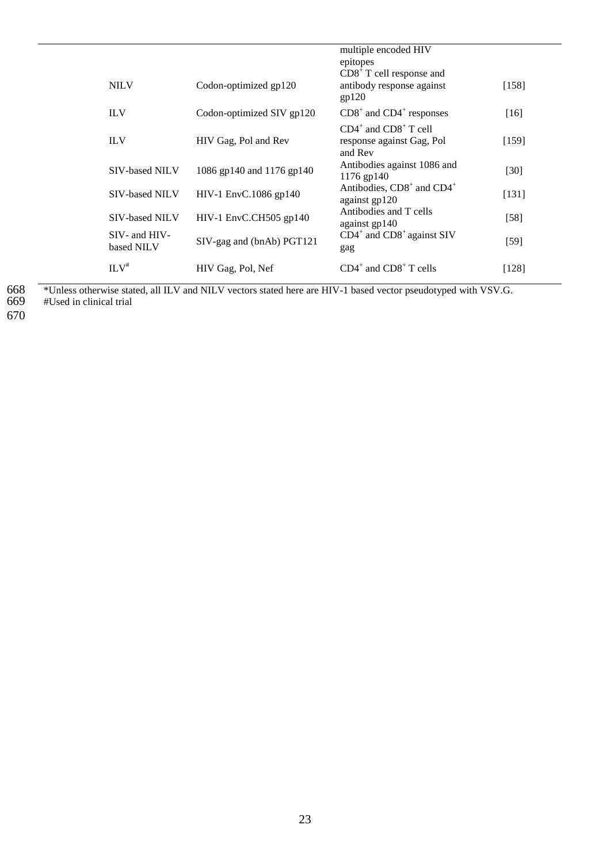|                                 |                           | multiple encoded HIV<br>epitopes<br>$CDS+ T$ cell response and     |         |
|---------------------------------|---------------------------|--------------------------------------------------------------------|---------|
| <b>NILV</b>                     | Codon-optimized gp120     | antibody response against<br>gp120                                 | $[158]$ |
| <b>ILV</b>                      | Codon-optimized SIV gp120 | $CD8+$ and $CD4+$ responses                                        | $[16]$  |
| <b>ILV</b>                      | HIV Gag, Pol and Rev      | $CD4^+$ and $CD8^+$ T cell<br>response against Gag, Pol<br>and Rev | [159]   |
| <b>SIV-based NILV</b>           | 1086 gp140 and 1176 gp140 | Antibodies against 1086 and<br>1176 gp140                          | [30]    |
| <b>SIV-based NILV</b>           | HIV-1 EnvC.1086 gp140     | Antibodies, CD8 <sup>+</sup> and CD4 <sup>+</sup><br>against gp120 | [131]   |
| <b>SIV-based NILV</b>           | HIV-1 EnvC.CH505 gp140    | Antibodies and T cells<br>against gp140                            | $[58]$  |
| $SIV-$ and $HIV-$<br>based NILV | SIV-gag and (bnAb) PGT121 | $CD4^+$ and $CD8^+$ against SIV<br>gag                             | $[59]$  |
| $ILV^*$                         | HIV Gag, Pol, Nef         | $CD4^+$ and $CD8^+$ T cells                                        | $[128]$ |

668 \*Unless otherwise stated, all ILV and NILV vectors stated here are HIV-1 based vector pseudotyped with VSV.G. 668<br>669<br>670

669 #Used in clinical trial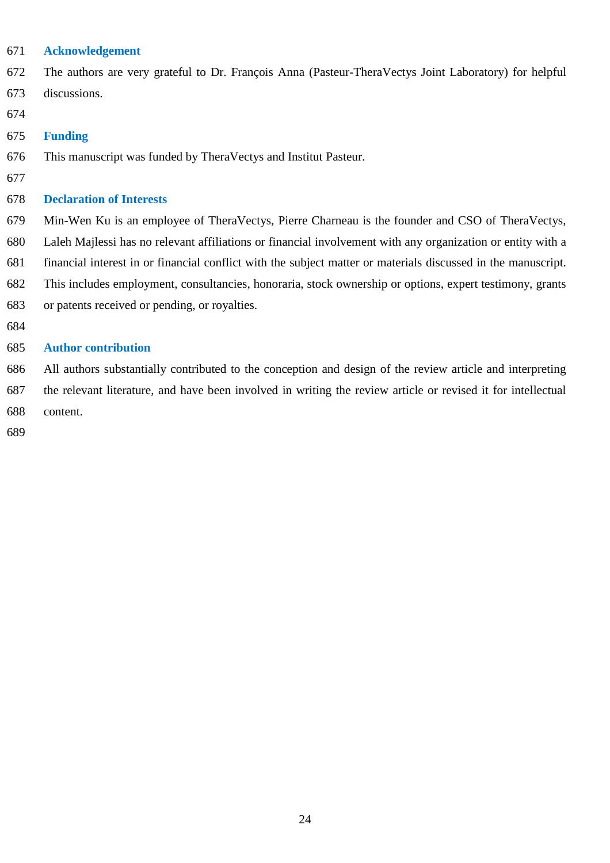## **Acknowledgement**

 The authors are very grateful to Dr. François Anna (Pasteur-TheraVectys Joint Laboratory) for helpful discussions.

#### **Funding**

- This manuscript was funded by TheraVectys and Institut Pasteur.
- 

## **Declaration of Interests**

 Min-Wen Ku is an employee of TheraVectys, Pierre Charneau is the founder and CSO of TheraVectys, Laleh Majlessi has no relevant affiliations or financial involvement with any organization or entity with a financial interest in or financial conflict with the subject matter or materials discussed in the manuscript. This includes employment, consultancies, honoraria, stock ownership or options, expert testimony, grants or patents received or pending, or royalties.

## **Author contribution**

 All authors substantially contributed to the conception and design of the review article and interpreting the relevant literature, and have been involved in writing the review article or revised it for intellectual content.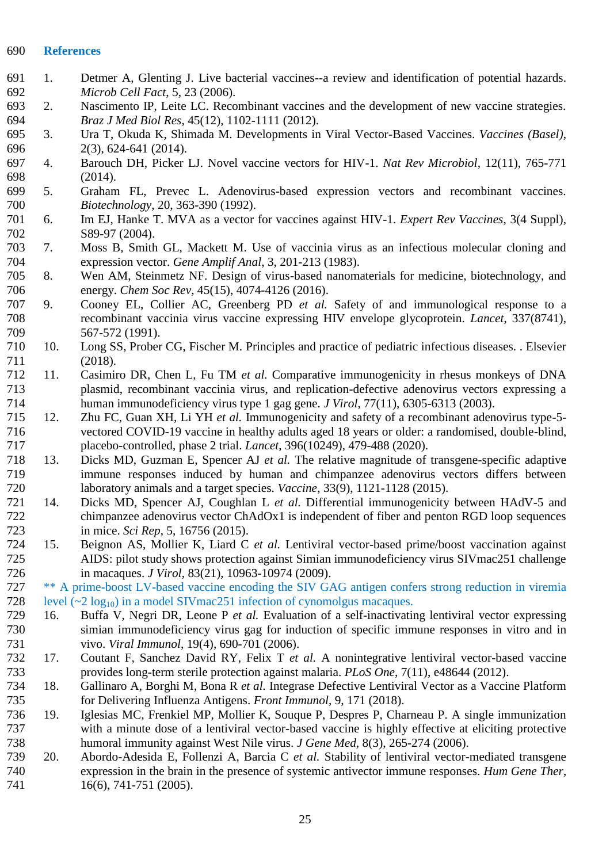#### **References**

- 1. Detmer A, Glenting J. Live bacterial vaccines--a review and identification of potential hazards. *Microb Cell Fact*, 5, 23 (2006).
- 2. Nascimento IP, Leite LC. Recombinant vaccines and the development of new vaccine strategies. *Braz J Med Biol Res*, 45(12), 1102-1111 (2012).
- 3. Ura T, Okuda K, Shimada M. Developments in Viral Vector-Based Vaccines. *Vaccines (Basel)*, 2(3), 624-641 (2014).
- 4. Barouch DH, Picker LJ. Novel vaccine vectors for HIV-1. *Nat Rev Microbiol*, 12(11), 765-771 (2014).
- 5. Graham FL, Prevec L. Adenovirus-based expression vectors and recombinant vaccines. *Biotechnology*, 20, 363-390 (1992).
- 6. Im EJ, Hanke T. MVA as a vector for vaccines against HIV-1. *Expert Rev Vaccines*, 3(4 Suppl), S89-97 (2004).
- 7. Moss B, Smith GL, Mackett M. Use of vaccinia virus as an infectious molecular cloning and expression vector. *Gene Amplif Anal*, 3, 201-213 (1983).
- Wen AM, Steinmetz NF. Design of virus-based nanomaterials for medicine, biotechnology, and energy. *Chem Soc Rev*, 45(15), 4074-4126 (2016).
- 9. Cooney EL, Collier AC, Greenberg PD *et al.* Safety of and immunological response to a recombinant vaccinia virus vaccine expressing HIV envelope glycoprotein. *Lancet*, 337(8741), 567-572 (1991).
- 10. Long SS, Prober CG, Fischer M. Principles and practice of pediatric infectious diseases. . Elsevier (2018).
- 11. Casimiro DR, Chen L, Fu TM *et al.* Comparative immunogenicity in rhesus monkeys of DNA plasmid, recombinant vaccinia virus, and replication-defective adenovirus vectors expressing a human immunodeficiency virus type 1 gag gene. *J Virol*, 77(11), 6305-6313 (2003).
- 12. Zhu FC, Guan XH, Li YH *et al.* Immunogenicity and safety of a recombinant adenovirus type-5- vectored COVID-19 vaccine in healthy adults aged 18 years or older: a randomised, double-blind, placebo-controlled, phase 2 trial. *Lancet*, 396(10249), 479-488 (2020).
- 13. Dicks MD, Guzman E, Spencer AJ *et al.* The relative magnitude of transgene-specific adaptive immune responses induced by human and chimpanzee adenovirus vectors differs between laboratory animals and a target species. *Vaccine*, 33(9), 1121-1128 (2015).
- 14. Dicks MD, Spencer AJ, Coughlan L *et al.* Differential immunogenicity between HAdV-5 and chimpanzee adenovirus vector ChAdOx1 is independent of fiber and penton RGD loop sequences in mice. *Sci Rep*, 5, 16756 (2015).
- 15. Beignon AS, Mollier K, Liard C *et al.* Lentiviral vector-based prime/boost vaccination against AIDS: pilot study shows protection against Simian immunodeficiency virus SIVmac251 challenge in macaques. *J Virol*, 83(21), 10963-10974 (2009).

 \*\* A prime-boost LV-based vaccine encoding the SIV GAG antigen confers strong reduction in viremia 728 level  $(\sim 2 \log_{10})$  in a model SIV mac 251 infection of cynomolgus macaques.<br>729 16. Buffa V, Negri DR, Leone P *et al.* Evaluation of a self-inactivation

- 16. Buffa V, Negri DR, Leone P *et al.* Evaluation of a self-inactivating lentiviral vector expressing simian immunodeficiency virus gag for induction of specific immune responses in vitro and in vivo. *Viral Immunol*, 19(4), 690-701 (2006).
- 17. Coutant F, Sanchez David RY, Felix T *et al.* A nonintegrative lentiviral vector-based vaccine provides long-term sterile protection against malaria. *PLoS One*, 7(11), e48644 (2012).
- 18. Gallinaro A, Borghi M, Bona R *et al.* Integrase Defective Lentiviral Vector as a Vaccine Platform for Delivering Influenza Antigens. *Front Immunol*, 9, 171 (2018).
- 19. Iglesias MC, Frenkiel MP, Mollier K, Souque P, Despres P, Charneau P. A single immunization with a minute dose of a lentiviral vector-based vaccine is highly effective at eliciting protective humoral immunity against West Nile virus. *J Gene Med*, 8(3), 265-274 (2006).
- 20. Abordo-Adesida E, Follenzi A, Barcia C *et al.* Stability of lentiviral vector-mediated transgene expression in the brain in the presence of systemic antivector immune responses. *Hum Gene Ther*, 16(6), 741-751 (2005).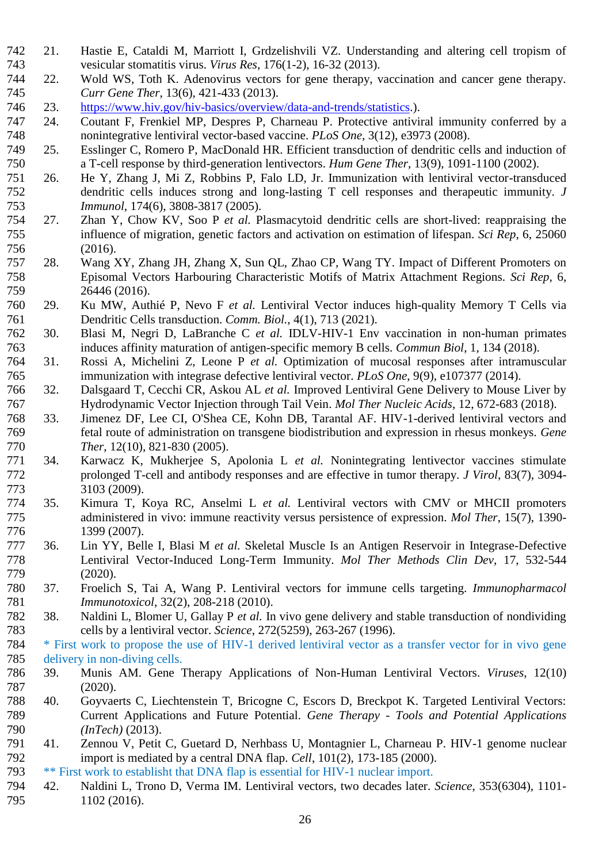- 21. Hastie E, Cataldi M, Marriott I, Grdzelishvili VZ. Understanding and altering cell tropism of vesicular stomatitis virus. *Virus Res*, 176(1-2), 16-32 (2013).
- 22. Wold WS, Toth K. Adenovirus vectors for gene therapy, vaccination and cancer gene therapy. *Curr Gene Ther*, 13(6), 421-433 (2013).
- 23. [https://www.hiv.gov/hiv-basics/overview/data-and-trends/statistics.](https://www.hiv.gov/hiv-basics/overview/data-and-trends/statistics)).
- 24. Coutant F, Frenkiel MP, Despres P, Charneau P. Protective antiviral immunity conferred by a nonintegrative lentiviral vector-based vaccine. *PLoS One*, 3(12), e3973 (2008).
- 749 25. Esslinger C, Romero P, MacDonald HR. Efficient transduction of dendritic cells and induction of a T-cell response by third-generation lentivectors. Hum Gene Ther, 13(9), 1091-1100 (2002). a T-cell response by third-generation lentivectors. *Hum Gene Ther*, 13(9), 1091-1100 (2002).
- 26. He Y, Zhang J, Mi Z, Robbins P, Falo LD, Jr. Immunization with lentiviral vector-transduced dendritic cells induces strong and long-lasting T cell responses and therapeutic immunity. *J Immunol*, 174(6), 3808-3817 (2005).
- 27. Zhan Y, Chow KV, Soo P *et al.* Plasmacytoid dendritic cells are short-lived: reappraising the influence of migration, genetic factors and activation on estimation of lifespan. *Sci Rep*, 6, 25060 (2016).
- 28. Wang XY, Zhang JH, Zhang X, Sun QL, Zhao CP, Wang TY. Impact of Different Promoters on Episomal Vectors Harbouring Characteristic Motifs of Matrix Attachment Regions. *Sci Rep*, 6, 26446 (2016).
- 29. Ku MW, Authié P, Nevo F *et al.* Lentiviral Vector induces high-quality Memory T Cells via Dendritic Cells transduction. *Comm. Biol.*, 4(1), 713 (2021).
- 30. Blasi M, Negri D, LaBranche C *et al.* IDLV-HIV-1 Env vaccination in non-human primates induces affinity maturation of antigen-specific memory B cells. *Commun Biol*, 1, 134 (2018).
- 31. Rossi A, Michelini Z, Leone P *et al.* Optimization of mucosal responses after intramuscular immunization with integrase defective lentiviral vector. *PLoS One*, 9(9), e107377 (2014).
- 32. Dalsgaard T, Cecchi CR, Askou AL *et al.* Improved Lentiviral Gene Delivery to Mouse Liver by Hydrodynamic Vector Injection through Tail Vein. *Mol Ther Nucleic Acids*, 12, 672-683 (2018).
- 33. Jimenez DF, Lee CI, O'Shea CE, Kohn DB, Tarantal AF. HIV-1-derived lentiviral vectors and fetal route of administration on transgene biodistribution and expression in rhesus monkeys. *Gene Ther*, 12(10), 821-830 (2005).
- 34. Karwacz K, Mukherjee S, Apolonia L *et al.* Nonintegrating lentivector vaccines stimulate prolonged T-cell and antibody responses and are effective in tumor therapy. *J Virol*, 83(7), 3094- 3103 (2009).
- 35. Kimura T, Koya RC, Anselmi L *et al.* Lentiviral vectors with CMV or MHCII promoters administered in vivo: immune reactivity versus persistence of expression. *Mol Ther*, 15(7), 1390- 1399 (2007).
- 36. Lin YY, Belle I, Blasi M *et al.* Skeletal Muscle Is an Antigen Reservoir in Integrase-Defective Lentiviral Vector-Induced Long-Term Immunity. *Mol Ther Methods Clin Dev*, 17, 532-544 (2020).
- 37. Froelich S, Tai A, Wang P. Lentiviral vectors for immune cells targeting. *Immunopharmacol Immunotoxicol*, 32(2), 208-218 (2010).
- 38. Naldini L, Blomer U, Gallay P *et al.* In vivo gene delivery and stable transduction of nondividing cells by a lentiviral vector. *Science*, 272(5259), 263-267 (1996).

 \* First work to propose the use of HIV-1 derived lentiviral vector as a transfer vector for in vivo gene delivery in non-diving cells.

- 39. Munis AM. Gene Therapy Applications of Non-Human Lentiviral Vectors. *Viruses*, 12(10) (2020).
- 40. Goyvaerts C, Liechtenstein T, Bricogne C, Escors D, Breckpot K. Targeted Lentiviral Vectors: Current Applications and Future Potential. *Gene Therapy - Tools and Potential Applications (InTech)* (2013).
- 41. Zennou V, Petit C, Guetard D, Nerhbass U, Montagnier L, Charneau P. HIV-1 genome nuclear import is mediated by a central DNA flap. *Cell*, 101(2), 173-185 (2000).
- \*\* First work to establisht that DNA flap is essential for HIV-1 nuclear import.
- 42. Naldini L, Trono D, Verma IM. Lentiviral vectors, two decades later. *Science*, 353(6304), 1101- 1102 (2016).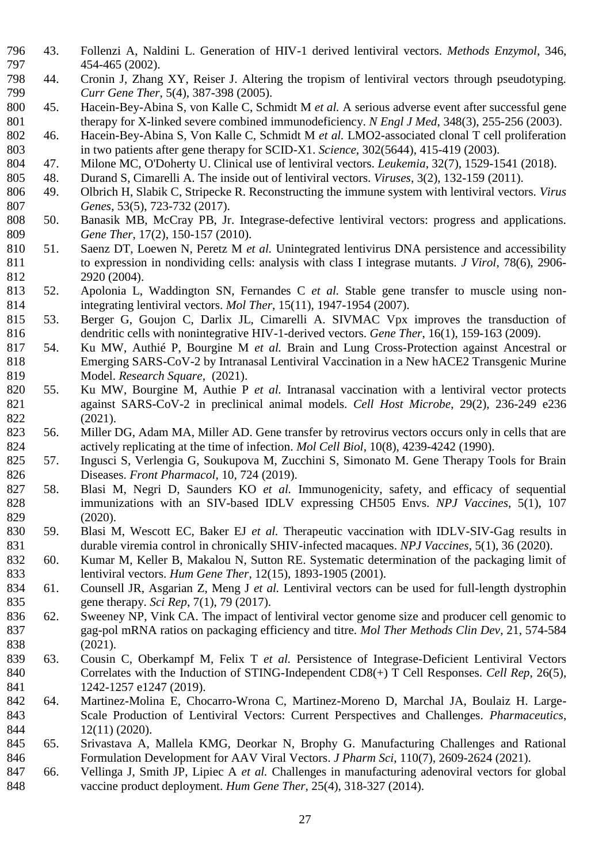- 43. Follenzi A, Naldini L. Generation of HIV-1 derived lentiviral vectors. *Methods Enzymol*, 346, 454-465 (2002).
- 44. Cronin J, Zhang XY, Reiser J. Altering the tropism of lentiviral vectors through pseudotyping. *Curr Gene Ther*, 5(4), 387-398 (2005).
- 45. Hacein-Bey-Abina S, von Kalle C, Schmidt M *et al.* A serious adverse event after successful gene therapy for X-linked severe combined immunodeficiency. *N Engl J Med*, 348(3), 255-256 (2003).
- 46. Hacein-Bey-Abina S, Von Kalle C, Schmidt M *et al.* LMO2-associated clonal T cell proliferation 803 in two patients after gene therapy for SCID-X1. *Science*, 302(5644), 415-419 (2003).<br>804 47. Milone MC, O'Doherty U. Clinical use of lentiviral vectors. *Leukemia*, 32(7), 1529-1.
- 47. Milone MC, O'Doherty U. Clinical use of lentiviral vectors. *Leukemia*, 32(7), 1529-1541 (2018).
- 48. Durand S, Cimarelli A. The inside out of lentiviral vectors. *Viruses*, 3(2), 132-159 (2011).
- 49. Olbrich H, Slabik C, Stripecke R. Reconstructing the immune system with lentiviral vectors. *Virus Genes*, 53(5), 723-732 (2017).
- 50. Banasik MB, McCray PB, Jr. Integrase-defective lentiviral vectors: progress and applications. *Gene Ther*, 17(2), 150-157 (2010).
- 51. Saenz DT, Loewen N, Peretz M *et al.* Unintegrated lentivirus DNA persistence and accessibility to expression in nondividing cells: analysis with class I integrase mutants. *J Virol*, 78(6), 2906- 2920 (2004).
- 52. Apolonia L, Waddington SN, Fernandes C *et al.* Stable gene transfer to muscle using non-integrating lentiviral vectors. *Mol Ther*, 15(11), 1947-1954 (2007).
- 53. Berger G, Goujon C, Darlix JL, Cimarelli A. SIVMAC Vpx improves the transduction of dendritic cells with nonintegrative HIV-1-derived vectors. *Gene Ther*, 16(1), 159-163 (2009).
- 54. Ku MW, Authié P, Bourgine M *et al.* Brain and Lung Cross-Protection against Ancestral or Emerging SARS-CoV-2 by Intranasal Lentiviral Vaccination in a New hACE2 Transgenic Murine Model. *Research Square*, (2021).
- 55. Ku MW, Bourgine M, Authie P *et al.* Intranasal vaccination with a lentiviral vector protects against SARS-CoV-2 in preclinical animal models. *Cell Host Microbe*, 29(2), 236-249 e236 (2021).
- 56. Miller DG, Adam MA, Miller AD. Gene transfer by retrovirus vectors occurs only in cells that are actively replicating at the time of infection. *Mol Cell Biol*, 10(8), 4239-4242 (1990).
- 57. Ingusci S, Verlengia G, Soukupova M, Zucchini S, Simonato M. Gene Therapy Tools for Brain Diseases. *Front Pharmacol*, 10, 724 (2019).
- 58. Blasi M, Negri D, Saunders KO *et al.* Immunogenicity, safety, and efficacy of sequential immunizations with an SIV-based IDLV expressing CH505 Envs. *NPJ Vaccines*, 5(1), 107 (2020).
- 59. Blasi M, Wescott EC, Baker EJ *et al.* Therapeutic vaccination with IDLV-SIV-Gag results in durable viremia control in chronically SHIV-infected macaques. *NPJ Vaccines*, 5(1), 36 (2020).
- 60. Kumar M, Keller B, Makalou N, Sutton RE. Systematic determination of the packaging limit of lentiviral vectors. *Hum Gene Ther*, 12(15), 1893-1905 (2001).
- 61. Counsell JR, Asgarian Z, Meng J *et al.* Lentiviral vectors can be used for full-length dystrophin gene therapy. *Sci Rep*, 7(1), 79 (2017).
- 62. Sweeney NP, Vink CA. The impact of lentiviral vector genome size and producer cell genomic to gag-pol mRNA ratios on packaging efficiency and titre. *Mol Ther Methods Clin Dev*, 21, 574-584 (2021).
- 63. Cousin C, Oberkampf M, Felix T *et al.* Persistence of Integrase-Deficient Lentiviral Vectors Correlates with the Induction of STING-Independent CD8(+) T Cell Responses. *Cell Rep*, 26(5), 841 1242-1257 e1247 (2019).
- 64. Martinez-Molina E, Chocarro-Wrona C, Martinez-Moreno D, Marchal JA, Boulaiz H. Large- Scale Production of Lentiviral Vectors: Current Perspectives and Challenges. *Pharmaceutics*, 12(11) (2020).
- 65. Srivastava A, Mallela KMG, Deorkar N, Brophy G. Manufacturing Challenges and Rational Formulation Development for AAV Viral Vectors. *J Pharm Sci*, 110(7), 2609-2624 (2021).
- 66. Vellinga J, Smith JP, Lipiec A *et al.* Challenges in manufacturing adenoviral vectors for global vaccine product deployment. *Hum Gene Ther*, 25(4), 318-327 (2014).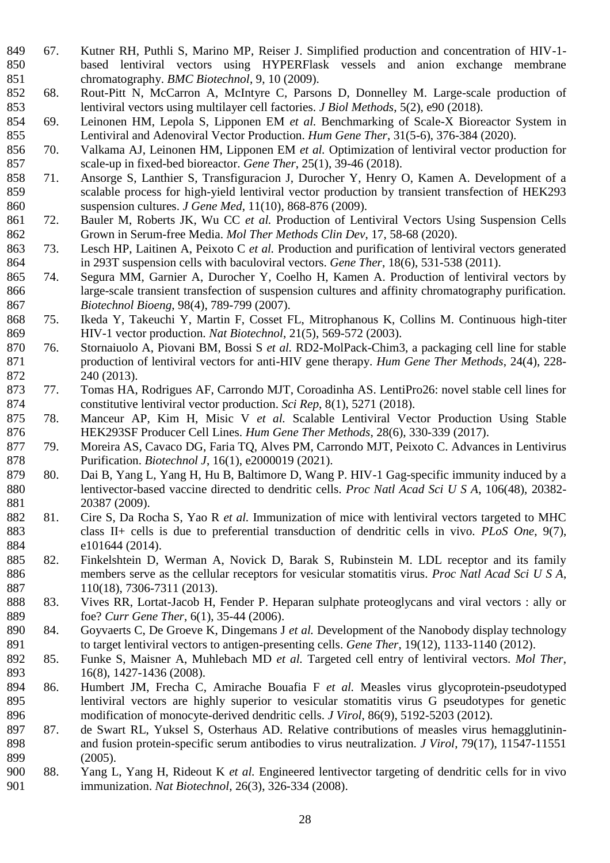- 67. Kutner RH, Puthli S, Marino MP, Reiser J. Simplified production and concentration of HIV-1- based lentiviral vectors using HYPERFlask vessels and anion exchange membrane chromatography. *BMC Biotechnol*, 9, 10 (2009).
- 68. Rout-Pitt N, McCarron A, McIntyre C, Parsons D, Donnelley M. Large-scale production of 853 lentiviral vectors using multilayer cell factories. *J Biol Methods*, 5(2), e90 (2018).<br>854 69. Leinonen HM, Lepola S, Lipponen EM *et al.* Benchmarking of Scale-X Biore
- 69. Leinonen HM, Lepola S, Lipponen EM *et al.* Benchmarking of Scale-X Bioreactor System in Lentiviral and Adenoviral Vector Production. *Hum Gene Ther*, 31(5-6), 376-384 (2020).
- 70. Valkama AJ, Leinonen HM, Lipponen EM *et al.* Optimization of lentiviral vector production for scale-up in fixed-bed bioreactor. *Gene Ther*, 25(1), 39-46 (2018).
- 71. Ansorge S, Lanthier S, Transfiguracion J, Durocher Y, Henry O, Kamen A. Development of a scalable process for high-yield lentiviral vector production by transient transfection of HEK293 suspension cultures. *J Gene Med*, 11(10), 868-876 (2009).
- 72. Bauler M, Roberts JK, Wu CC *et al.* Production of Lentiviral Vectors Using Suspension Cells Grown in Serum-free Media. *Mol Ther Methods Clin Dev*, 17, 58-68 (2020).
- 73. Lesch HP, Laitinen A, Peixoto C *et al.* Production and purification of lentiviral vectors generated in 293T suspension cells with baculoviral vectors. *Gene Ther*, 18(6), 531-538 (2011).
- 74. Segura MM, Garnier A, Durocher Y, Coelho H, Kamen A. Production of lentiviral vectors by large-scale transient transfection of suspension cultures and affinity chromatography purification. *Biotechnol Bioeng*, 98(4), 789-799 (2007).
- 75. Ikeda Y, Takeuchi Y, Martin F, Cosset FL, Mitrophanous K, Collins M. Continuous high-titer 869 HIV-1 vector production. *Nat Biotechnol*, 21(5), 569-572 (2003).<br>870 76. Stornaiuolo A, Piovani BM, Bossi S *et al.* RD2-MolPack-Chim3
- 76. Stornaiuolo A, Piovani BM, Bossi S *et al.* RD2-MolPack-Chim3, a packaging cell line for stable production of lentiviral vectors for anti-HIV gene therapy. *Hum Gene Ther Methods*, 24(4), 228- 240 (2013).
- 77. Tomas HA, Rodrigues AF, Carrondo MJT, Coroadinha AS. LentiPro26: novel stable cell lines for constitutive lentiviral vector production. *Sci Rep*, 8(1), 5271 (2018).
- 78. Manceur AP, Kim H, Misic V *et al.* Scalable Lentiviral Vector Production Using Stable HEK293SF Producer Cell Lines. *Hum Gene Ther Methods*, 28(6), 330-339 (2017).
- 79. Moreira AS, Cavaco DG, Faria TQ, Alves PM, Carrondo MJT, Peixoto C. Advances in Lentivirus Purification. *Biotechnol J*, 16(1), e2000019 (2021).
- 80. Dai B, Yang L, Yang H, Hu B, Baltimore D, Wang P. HIV-1 Gag-specific immunity induced by a lentivector-based vaccine directed to dendritic cells. *Proc Natl Acad Sci U S A*, 106(48), 20382- 20387 (2009).
- 81. Cire S, Da Rocha S, Yao R *et al.* Immunization of mice with lentiviral vectors targeted to MHC class II+ cells is due to preferential transduction of dendritic cells in vivo. *PLoS One*, 9(7), e101644 (2014).
- 82. Finkelshtein D, Werman A, Novick D, Barak S, Rubinstein M. LDL receptor and its family members serve as the cellular receptors for vesicular stomatitis virus. *Proc Natl Acad Sci U S A*, 110(18), 7306-7311 (2013).
- 83. Vives RR, Lortat-Jacob H, Fender P. Heparan sulphate proteoglycans and viral vectors : ally or foe? *Curr Gene Ther*, 6(1), 35-44 (2006).
- 84. Goyvaerts C, De Groeve K, Dingemans J *et al.* Development of the Nanobody display technology to target lentiviral vectors to antigen-presenting cells. *Gene Ther*, 19(12), 1133-1140 (2012).
- 85. Funke S, Maisner A, Muhlebach MD *et al.* Targeted cell entry of lentiviral vectors. *Mol Ther*, 16(8), 1427-1436 (2008).
- 86. Humbert JM, Frecha C, Amirache Bouafia F *et al.* Measles virus glycoprotein-pseudotyped lentiviral vectors are highly superior to vesicular stomatitis virus G pseudotypes for genetic modification of monocyte-derived dendritic cells. *J Virol*, 86(9), 5192-5203 (2012).
- 87. de Swart RL, Yuksel S, Osterhaus AD. Relative contributions of measles virus hemagglutinin- and fusion protein-specific serum antibodies to virus neutralization. *J Virol*, 79(17), 11547-11551 (2005).
- 88. Yang L, Yang H, Rideout K *et al.* Engineered lentivector targeting of dendritic cells for in vivo immunization. *Nat Biotechnol*, 26(3), 326-334 (2008).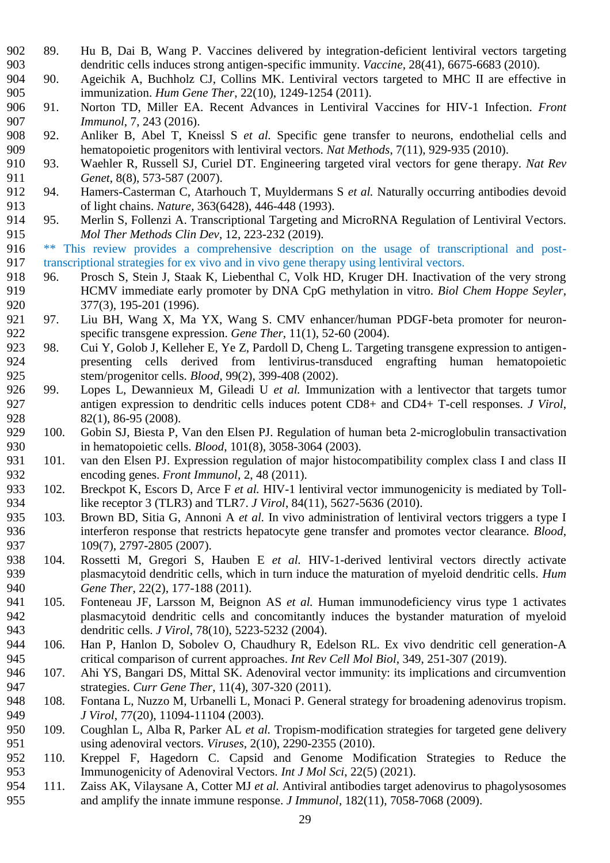- 89. Hu B, Dai B, Wang P. Vaccines delivered by integration-deficient lentiviral vectors targeting dendritic cells induces strong antigen-specific immunity. *Vaccine*, 28(41), 6675-6683 (2010).
- 90. Ageichik A, Buchholz CJ, Collins MK. Lentiviral vectors targeted to MHC II are effective in immunization. *Hum Gene Ther*, 22(10), 1249-1254 (2011).
- 91. Norton TD, Miller EA. Recent Advances in Lentiviral Vaccines for HIV-1 Infection. *Front Immunol*, 7, 243 (2016).
- 92. Anliker B, Abel T, Kneissl S *et al.* Specific gene transfer to neurons, endothelial cells and 909 hematopoietic progenitors with lentiviral vectors. *Nat Methods*, 7(11), 929-935 (2010).<br>910 93. Waehler R. Russell S.J. Curiel DT. Engineering targeted viral vectors for gene theran
- 93. Waehler R, Russell SJ, Curiel DT. Engineering targeted viral vectors for gene therapy. *Nat Rev Genet*, 8(8), 573-587 (2007).
- 94. Hamers-Casterman C, Atarhouch T, Muyldermans S *et al.* Naturally occurring antibodies devoid of light chains. *Nature*, 363(6428), 446-448 (1993).
- 95. Merlin S, Follenzi A. Transcriptional Targeting and MicroRNA Regulation of Lentiviral Vectors. *Mol Ther Methods Clin Dev*, 12, 223-232 (2019).

 \*\* This review provides a comprehensive description on the usage of transcriptional and post-917 transcriptional strategies for ex vivo and in vivo gene therapy using lentiviral vectors.

- 96. Prosch S, Stein J, Staak K, Liebenthal C, Volk HD, Kruger DH. Inactivation of the very strong HCMV immediate early promoter by DNA CpG methylation in vitro. *Biol Chem Hoppe Seyler*, 377(3), 195-201 (1996).
- 97. Liu BH, Wang X, Ma YX, Wang S. CMV enhancer/human PDGF-beta promoter for neuron-specific transgene expression. *Gene Ther*, 11(1), 52-60 (2004).
- 98. Cui Y, Golob J, Kelleher E, Ye Z, Pardoll D, Cheng L. Targeting transgene expression to antigen- presenting cells derived from lentivirus-transduced engrafting human hematopoietic stem/progenitor cells. *Blood*, 99(2), 399-408 (2002).
- 99. Lopes L, Dewannieux M, Gileadi U *et al.* Immunization with a lentivector that targets tumor antigen expression to dendritic cells induces potent CD8+ and CD4+ T-cell responses. *J Virol*, 928 82(1), 86-95 (2008).
- 100. Gobin SJ, Biesta P, Van den Elsen PJ. Regulation of human beta 2-microglobulin transactivation in hematopoietic cells. *Blood*, 101(8), 3058-3064 (2003).
- 101. van den Elsen PJ. Expression regulation of major histocompatibility complex class I and class II encoding genes. *Front Immunol*, 2, 48 (2011).
- 102. Breckpot K, Escors D, Arce F *et al.* HIV-1 lentiviral vector immunogenicity is mediated by Toll-like receptor 3 (TLR3) and TLR7. *J Virol*, 84(11), 5627-5636 (2010).
- 103. Brown BD, Sitia G, Annoni A *et al.* In vivo administration of lentiviral vectors triggers a type I interferon response that restricts hepatocyte gene transfer and promotes vector clearance. *Blood*, 937 109(7), 2797-2805 (2007).
- 104. Rossetti M, Gregori S, Hauben E *et al.* HIV-1-derived lentiviral vectors directly activate plasmacytoid dendritic cells, which in turn induce the maturation of myeloid dendritic cells. *Hum Gene Ther*, 22(2), 177-188 (2011).
- 105. Fonteneau JF, Larsson M, Beignon AS *et al.* Human immunodeficiency virus type 1 activates plasmacytoid dendritic cells and concomitantly induces the bystander maturation of myeloid dendritic cells. *J Virol*, 78(10), 5223-5232 (2004).
- 106. Han P, Hanlon D, Sobolev O, Chaudhury R, Edelson RL. Ex vivo dendritic cell generation-A critical comparison of current approaches. *Int Rev Cell Mol Biol*, 349, 251-307 (2019).
- 107. Ahi YS, Bangari DS, Mittal SK. Adenoviral vector immunity: its implications and circumvention strategies. *Curr Gene Ther*, 11(4), 307-320 (2011).
- 108. Fontana L, Nuzzo M, Urbanelli L, Monaci P. General strategy for broadening adenovirus tropism. *J Virol*, 77(20), 11094-11104 (2003).
- 109. Coughlan L, Alba R, Parker AL *et al.* Tropism-modification strategies for targeted gene delivery using adenoviral vectors. *Viruses*, 2(10), 2290-2355 (2010).
- 110. Kreppel F, Hagedorn C. Capsid and Genome Modification Strategies to Reduce the Immunogenicity of Adenoviral Vectors. *Int J Mol Sci*, 22(5) (2021).
- 111. Zaiss AK, Vilaysane A, Cotter MJ *et al.* Antiviral antibodies target adenovirus to phagolysosomes and amplify the innate immune response. *J Immunol*, 182(11), 7058-7068 (2009).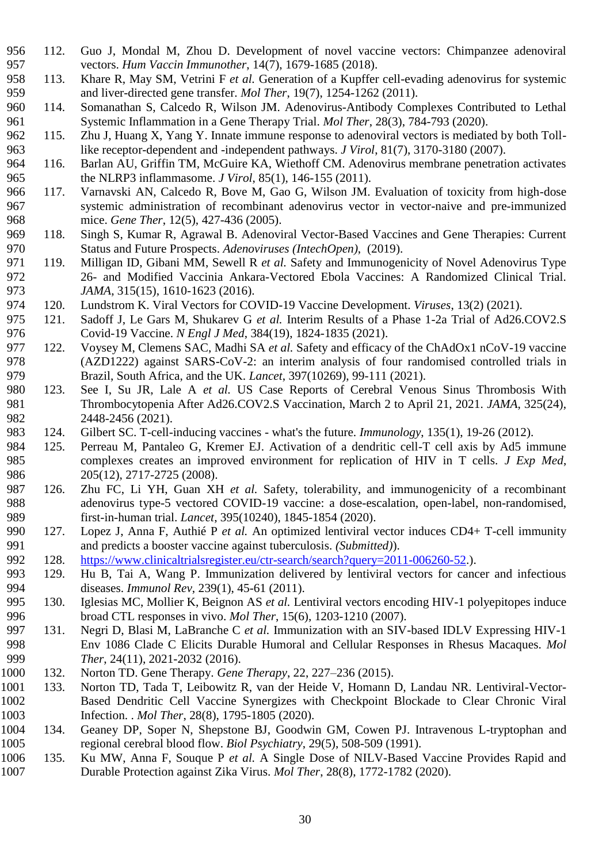- 112. Guo J, Mondal M, Zhou D. Development of novel vaccine vectors: Chimpanzee adenoviral vectors. *Hum Vaccin Immunother*, 14(7), 1679-1685 (2018).
- 113. Khare R, May SM, Vetrini F *et al.* Generation of a Kupffer cell-evading adenovirus for systemic and liver-directed gene transfer. *Mol Ther*, 19(7), 1254-1262 (2011).
- 114. Somanathan S, Calcedo R, Wilson JM. Adenovirus-Antibody Complexes Contributed to Lethal Systemic Inflammation in a Gene Therapy Trial. *Mol Ther*, 28(3), 784-793 (2020).
- 115. Zhu J, Huang X, Yang Y. Innate immune response to adenoviral vectors is mediated by both Toll-like receptor-dependent and -independent pathways. *J Virol*, 81(7), 3170-3180 (2007).
- 116. Barlan AU, Griffin TM, McGuire KA, Wiethoff CM. Adenovirus membrane penetration activates the NLRP3 inflammasome. *J Virol*, 85(1), 146-155 (2011).
- 117. Varnavski AN, Calcedo R, Bove M, Gao G, Wilson JM. Evaluation of toxicity from high-dose systemic administration of recombinant adenovirus vector in vector-naive and pre-immunized mice. *Gene Ther*, 12(5), 427-436 (2005).
- 118. Singh S, Kumar R, Agrawal B. Adenoviral Vector-Based Vaccines and Gene Therapies: Current Status and Future Prospects. *Adenoviruses (IntechOpen)*, (2019).
- 119. Milligan ID, Gibani MM, Sewell R *et al.* Safety and Immunogenicity of Novel Adenovirus Type 26- and Modified Vaccinia Ankara-Vectored Ebola Vaccines: A Randomized Clinical Trial. *JAMA*, 315(15), 1610-1623 (2016).
- 120. Lundstrom K. Viral Vectors for COVID-19 Vaccine Development. *Viruses*, 13(2) (2021).
- 121. Sadoff J, Le Gars M, Shukarev G *et al.* Interim Results of a Phase 1-2a Trial of Ad26.COV2.S Covid-19 Vaccine. *N Engl J Med*, 384(19), 1824-1835 (2021).
- 122. Voysey M, Clemens SAC, Madhi SA *et al.* Safety and efficacy of the ChAdOx1 nCoV-19 vaccine (AZD1222) against SARS-CoV-2: an interim analysis of four randomised controlled trials in Brazil, South Africa, and the UK. *Lancet*, 397(10269), 99-111 (2021).
- 123. See I, Su JR, Lale A *et al.* US Case Reports of Cerebral Venous Sinus Thrombosis With Thrombocytopenia After Ad26.COV2.S Vaccination, March 2 to April 21, 2021. *JAMA*, 325(24), 2448-2456 (2021).
- 124. Gilbert SC. T-cell-inducing vaccines what's the future. *Immunology*, 135(1), 19-26 (2012).
- 125. Perreau M, Pantaleo G, Kremer EJ. Activation of a dendritic cell-T cell axis by Ad5 immune complexes creates an improved environment for replication of HIV in T cells. *J Exp Med*, 986 205(12), 2717-2725 (2008).
- 126. Zhu FC, Li YH, Guan XH *et al.* Safety, tolerability, and immunogenicity of a recombinant adenovirus type-5 vectored COVID-19 vaccine: a dose-escalation, open-label, non-randomised, first-in-human trial. *Lancet*, 395(10240), 1845-1854 (2020).
- 127. Lopez J, Anna F, Authié P *et al.* An optimized lentiviral vector induces CD4+ T-cell immunity and predicts a booster vaccine against tuberculosis. *(Submitted)*).
- 128. [https://www.clinicaltrialsregister.eu/ctr-search/search?query=2011-006260-52.](https://www.clinicaltrialsregister.eu/ctr-search/search?query=2011-006260-52)).
- 129. Hu B, Tai A, Wang P. Immunization delivered by lentiviral vectors for cancer and infectious diseases. *Immunol Rev*, 239(1), 45-61 (2011).
- 130. Iglesias MC, Mollier K, Beignon AS *et al.* Lentiviral vectors encoding HIV-1 polyepitopes induce broad CTL responses in vivo. *Mol Ther*, 15(6), 1203-1210 (2007).
- 131. Negri D, Blasi M, LaBranche C *et al.* Immunization with an SIV-based IDLV Expressing HIV-1 Env 1086 Clade C Elicits Durable Humoral and Cellular Responses in Rhesus Macaques. *Mol Ther*, 24(11), 2021-2032 (2016).
- 132. Norton TD. Gene Therapy. *Gene Therapy*, 22, 227–236 (2015).
- 133. Norton TD, Tada T, Leibowitz R, van der Heide V, Homann D, Landau NR. Lentiviral-Vector- Based Dendritic Cell Vaccine Synergizes with Checkpoint Blockade to Clear Chronic Viral Infection. . *Mol Ther*, 28(8), 1795-1805 (2020).
- 134. Geaney DP, Soper N, Shepstone BJ, Goodwin GM, Cowen PJ. Intravenous L-tryptophan and regional cerebral blood flow. *Biol Psychiatry*, 29(5), 508-509 (1991).
- 135. Ku MW, Anna F, Souque P *et al.* A Single Dose of NILV-Based Vaccine Provides Rapid and Durable Protection against Zika Virus. *Mol Ther*, 28(8), 1772-1782 (2020).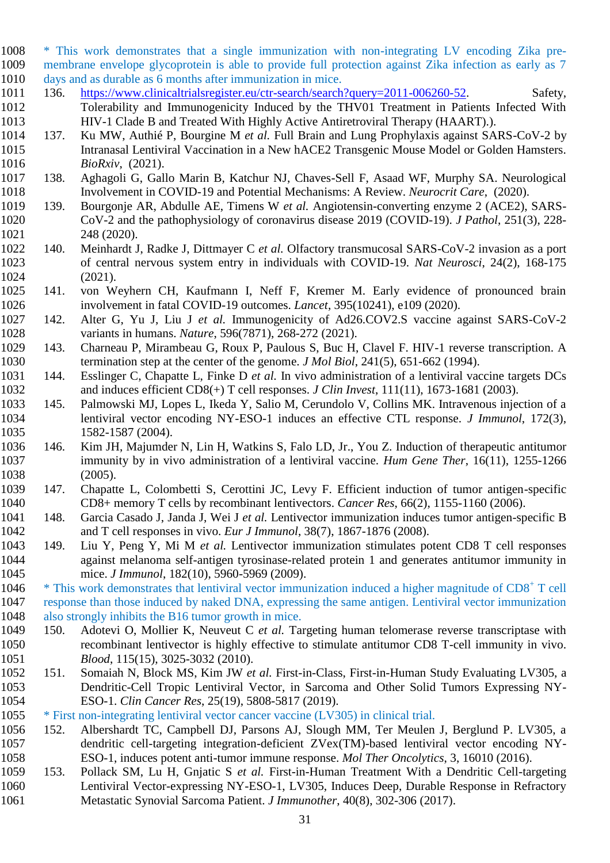\* This work demonstrates that a single immunization with non-integrating LV encoding Zika pre- membrane envelope glycoprotein is able to provide full protection against Zika infection as early as 7 days and as durable as 6 months after immunization in mice.

- 136. [https://www.clinicaltrialsregister.eu/ctr-search/search?query=2011-006260-52.](https://www.clinicaltrialsregister.eu/ctr-search/search?query=2011-006260-52) Safety, Tolerability and Immunogenicity Induced by the THV01 Treatment in Patients Infected With HIV-1 Clade B and Treated With Highly Active Antiretroviral Therapy (HAART).).
- 137. Ku MW, Authié P, Bourgine M *et al.* Full Brain and Lung Prophylaxis against SARS-CoV-2 by Intranasal Lentiviral Vaccination in a New hACE2 Transgenic Mouse Model or Golden Hamsters. *BioRxiv*, (2021).
- 138. Aghagoli G, Gallo Marin B, Katchur NJ, Chaves-Sell F, Asaad WF, Murphy SA. Neurological Involvement in COVID-19 and Potential Mechanisms: A Review. *Neurocrit Care*, (2020).
- 139. Bourgonje AR, Abdulle AE, Timens W *et al.* Angiotensin-converting enzyme 2 (ACE2), SARS- CoV-2 and the pathophysiology of coronavirus disease 2019 (COVID-19). *J Pathol*, 251(3), 228- 248 (2020).
- 140. Meinhardt J, Radke J, Dittmayer C *et al.* Olfactory transmucosal SARS-CoV-2 invasion as a port of central nervous system entry in individuals with COVID-19. *Nat Neurosci*, 24(2), 168-175 (2021).
- 141. von Weyhern CH, Kaufmann I, Neff F, Kremer M. Early evidence of pronounced brain involvement in fatal COVID-19 outcomes. *Lancet*, 395(10241), e109 (2020).
- 142. Alter G, Yu J, Liu J *et al.* Immunogenicity of Ad26.COV2.S vaccine against SARS-CoV-2 variants in humans. *Nature*, 596(7871), 268-272 (2021).
- 143. Charneau P, Mirambeau G, Roux P, Paulous S, Buc H, Clavel F. HIV-1 reverse transcription. A termination step at the center of the genome. *J Mol Biol*, 241(5), 651-662 (1994).
- 144. Esslinger C, Chapatte L, Finke D *et al.* In vivo administration of a lentiviral vaccine targets DCs and induces efficient CD8(+) T cell responses. *J Clin Invest*, 111(11), 1673-1681 (2003).
- 145. Palmowski MJ, Lopes L, Ikeda Y, Salio M, Cerundolo V, Collins MK. Intravenous injection of a lentiviral vector encoding NY-ESO-1 induces an effective CTL response. *J Immunol*, 172(3), 1582-1587 (2004).
- 146. Kim JH, Majumder N, Lin H, Watkins S, Falo LD, Jr., You Z. Induction of therapeutic antitumor immunity by in vivo administration of a lentiviral vaccine. *Hum Gene Ther*, 16(11), 1255-1266 (2005).
- 147. Chapatte L, Colombetti S, Cerottini JC, Levy F. Efficient induction of tumor antigen-specific CD8+ memory T cells by recombinant lentivectors. *Cancer Res*, 66(2), 1155-1160 (2006).
- 148. Garcia Casado J, Janda J, Wei J *et al.* Lentivector immunization induces tumor antigen-specific B and T cell responses in vivo. *Eur J Immunol*, 38(7), 1867-1876 (2008).
- 149. Liu Y, Peng Y, Mi M *et al.* Lentivector immunization stimulates potent CD8 T cell responses against melanoma self-antigen tyrosinase-related protein 1 and generates antitumor immunity in mice. *J Immunol*, 182(10), 5960-5969 (2009).
- 1046  $*$  This work demonstrates that lentiviral vector immunization induced a higher magnitude of  $CD8<sup>+</sup>$  T cell response than those induced by naked DNA, expressing the same antigen. Lentiviral vector immunization also strongly inhibits the B16 tumor growth in mice.
- 150. Adotevi O, Mollier K, Neuveut C *et al.* Targeting human telomerase reverse transcriptase with recombinant lentivector is highly effective to stimulate antitumor CD8 T-cell immunity in vivo. *Blood*, 115(15), 3025-3032 (2010).
- 151. Somaiah N, Block MS, Kim JW *et al.* First-in-Class, First-in-Human Study Evaluating LV305, a Dendritic-Cell Tropic Lentiviral Vector, in Sarcoma and Other Solid Tumors Expressing NY-ESO-1. *Clin Cancer Res*, 25(19), 5808-5817 (2019).
- \* First non-integrating lentiviral vector cancer vaccine (LV305) in clinical trial.
- 152. Albershardt TC, Campbell DJ, Parsons AJ, Slough MM, Ter Meulen J, Berglund P. LV305, a dendritic cell-targeting integration-deficient ZVex(TM)-based lentiviral vector encoding NY-ESO-1, induces potent anti-tumor immune response. *Mol Ther Oncolytics*, 3, 16010 (2016).
- 153. Pollack SM, Lu H, Gnjatic S *et al.* First-in-Human Treatment With a Dendritic Cell-targeting Lentiviral Vector-expressing NY-ESO-1, LV305, Induces Deep, Durable Response in Refractory Metastatic Synovial Sarcoma Patient. *J Immunother*, 40(8), 302-306 (2017).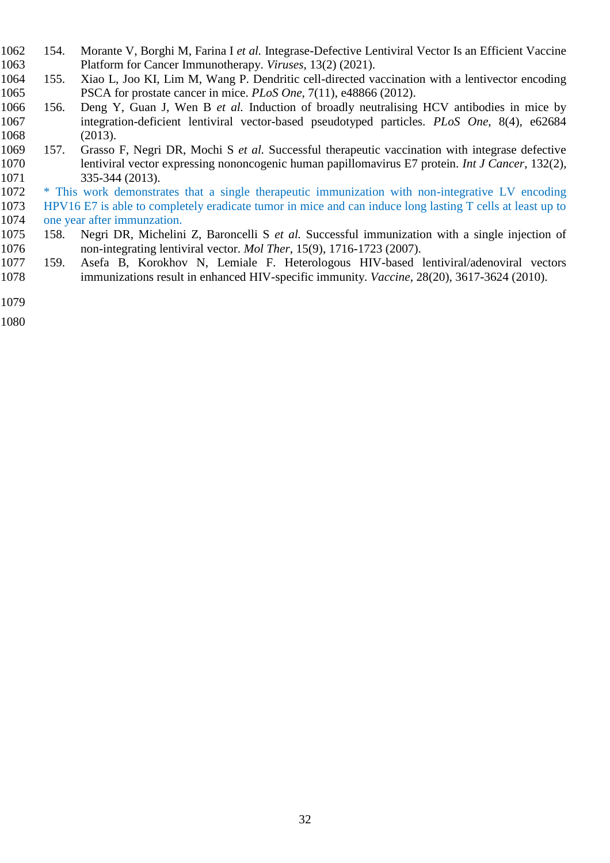- 154. Morante V, Borghi M, Farina I *et al.* Integrase-Defective Lentiviral Vector Is an Efficient Vaccine Platform for Cancer Immunotherapy. *Viruses*, 13(2) (2021).
- 155. Xiao L, Joo KI, Lim M, Wang P. Dendritic cell-directed vaccination with a lentivector encoding PSCA for prostate cancer in mice. *PLoS One*, 7(11), e48866 (2012).
- 156. Deng Y, Guan J, Wen B *et al.* Induction of broadly neutralising HCV antibodies in mice by integration-deficient lentiviral vector-based pseudotyped particles. *PLoS One*, 8(4), e62684 (2013).
- 157. Grasso F, Negri DR, Mochi S *et al.* Successful therapeutic vaccination with integrase defective lentiviral vector expressing nononcogenic human papillomavirus E7 protein. *Int J Cancer*, 132(2), 335-344 (2013).
- \* This work demonstrates that a single therapeutic immunization with non-integrative LV encoding HPV16 E7 is able to completely eradicate tumor in mice and can induce long lasting T cells at least up to one year after immunzation.
- 158. Negri DR, Michelini Z, Baroncelli S *et al.* Successful immunization with a single injection of non-integrating lentiviral vector. *Mol Ther*, 15(9), 1716-1723 (2007).
- 159. Asefa B, Korokhov N, Lemiale F. Heterologous HIV-based lentiviral/adenoviral vectors immunizations result in enhanced HIV-specific immunity. *Vaccine*, 28(20), 3617-3624 (2010).
- 
-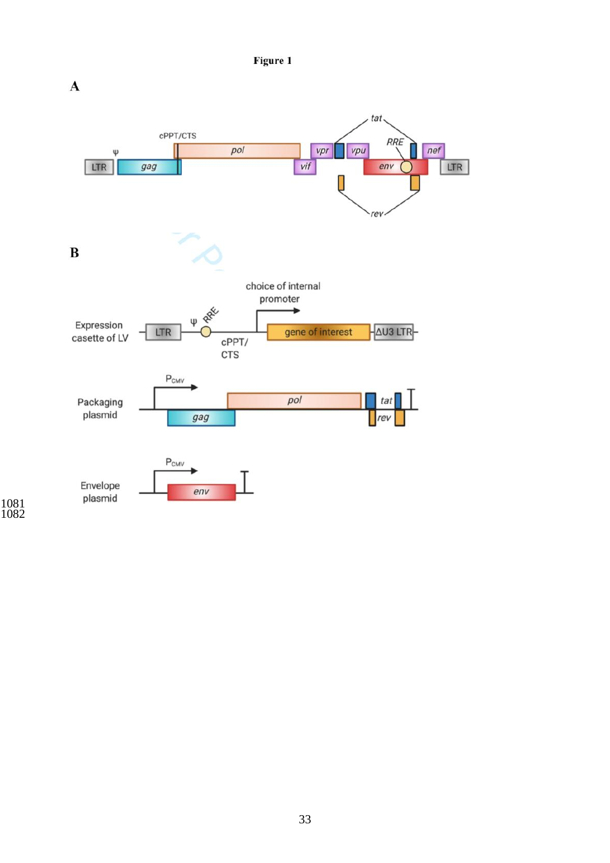Figure 1



####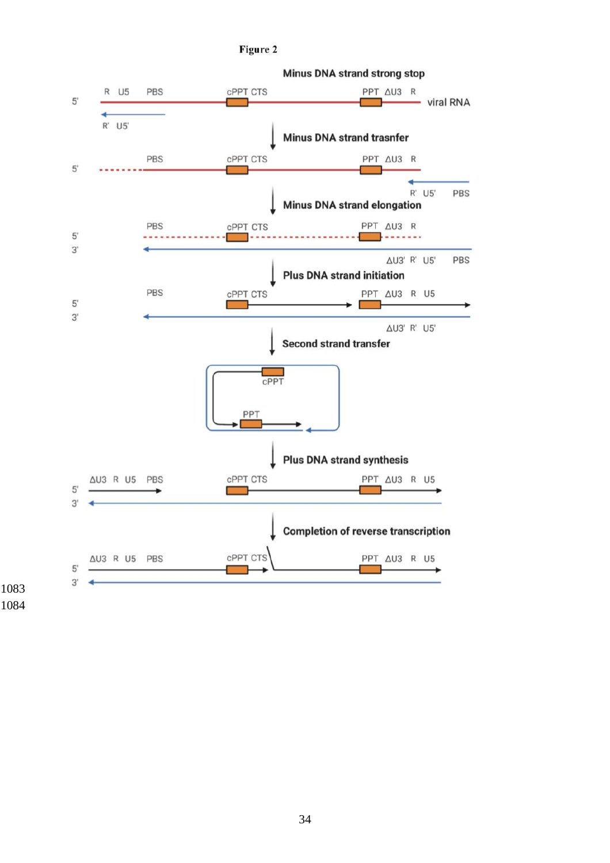#### Figure 2



**Minus DNA strand strong stop** 

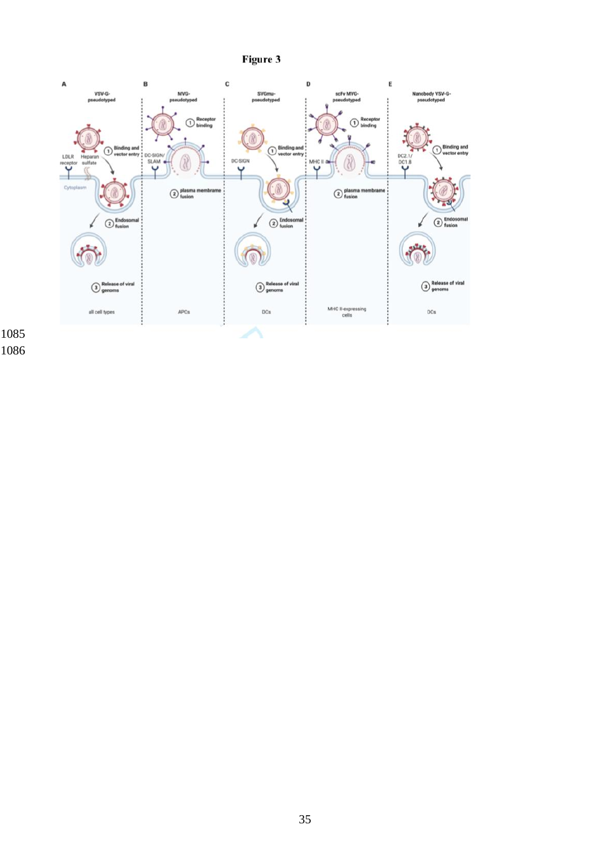